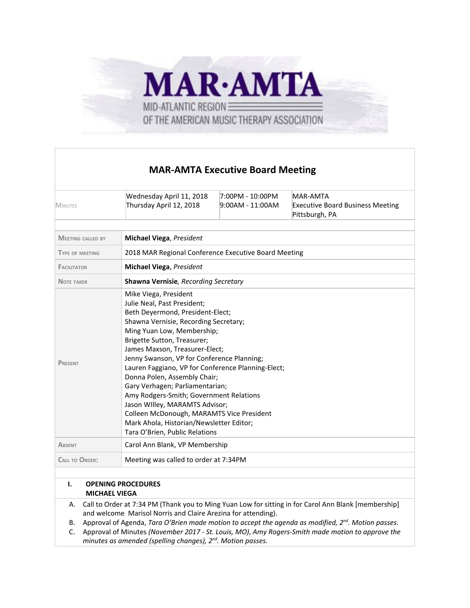

# **MAR-AMTA Executive Board Meeting**

| MINUTES                              | Wednesday April 11, 2018<br>Thursday April 12, 2018                                                                                                                                                                                                                                                                                                                                                                                                                                                                                                                                                             | 7:00PM - 10:00PM<br>9:00AM - 11:00AM | <b>MAR-AMTA</b><br><b>Executive Board Business Meeting</b><br>Pittsburgh, PA                         |
|--------------------------------------|-----------------------------------------------------------------------------------------------------------------------------------------------------------------------------------------------------------------------------------------------------------------------------------------------------------------------------------------------------------------------------------------------------------------------------------------------------------------------------------------------------------------------------------------------------------------------------------------------------------------|--------------------------------------|------------------------------------------------------------------------------------------------------|
| <b>MEETING CALLED BY</b>             | <b>Michael Viega, President</b>                                                                                                                                                                                                                                                                                                                                                                                                                                                                                                                                                                                 |                                      |                                                                                                      |
| <b>TYPE OF MEETING</b>               | 2018 MAR Regional Conference Executive Board Meeting                                                                                                                                                                                                                                                                                                                                                                                                                                                                                                                                                            |                                      |                                                                                                      |
| <b>FACILITATOR</b>                   | Michael Viega, President                                                                                                                                                                                                                                                                                                                                                                                                                                                                                                                                                                                        |                                      |                                                                                                      |
| <b>NOTE TAKER</b>                    | Shawna Vernisie, Recording Secretary                                                                                                                                                                                                                                                                                                                                                                                                                                                                                                                                                                            |                                      |                                                                                                      |
| PRESENT                              | Mike Viega, President<br>Julie Neal, Past President;<br>Beth Deyermond, President-Elect;<br>Shawna Vernisie, Recording Secretary;<br>Ming Yuan Low, Membership;<br>Brigette Sutton, Treasurer;<br>James Maxson, Treasurer-Elect;<br>Jenny Swanson, VP for Conference Planning;<br>Lauren Faggiano, VP for Conference Planning-Elect;<br>Donna Polen, Assembly Chair;<br>Gary Verhagen; Parliamentarian;<br>Amy Rodgers-Smith; Government Relations<br>Jason Willey, MARAMTS Advisor;<br>Colleen McDonough, MARAMTS Vice President<br>Mark Ahola, Historian/Newsletter Editor;<br>Tara O'Brien, Public Relations |                                      |                                                                                                      |
| <b>ABSENT</b>                        | Carol Ann Blank, VP Membership                                                                                                                                                                                                                                                                                                                                                                                                                                                                                                                                                                                  |                                      |                                                                                                      |
| <b>CALL TO ORDER:</b>                | Meeting was called to order at 7:34PM                                                                                                                                                                                                                                                                                                                                                                                                                                                                                                                                                                           |                                      |                                                                                                      |
| $\mathbf{L}$<br><b>MICHAEL VIEGA</b> | <b>OPENING PROCEDURES</b>                                                                                                                                                                                                                                                                                                                                                                                                                                                                                                                                                                                       |                                      |                                                                                                      |
| А.                                   |                                                                                                                                                                                                                                                                                                                                                                                                                                                                                                                                                                                                                 |                                      | Call to Order at 7:34 PM (Thank you to Ming Yuan Low for sitting in for Carol Ann Blank [membership] |

and welcome Marisol Norris and Claire Arezina for attending).

B. Approval of Agenda, *Tara O'Brien made motion to accept the agenda as modified, 2 nd . Motion passes.*

C. Approval of Minutes *(November 2017 - St. Louis, MO)*, *Amy Rogers-Smith made motion to approve the minutes as amended (spelling changes), 2 nd . Motion passes.*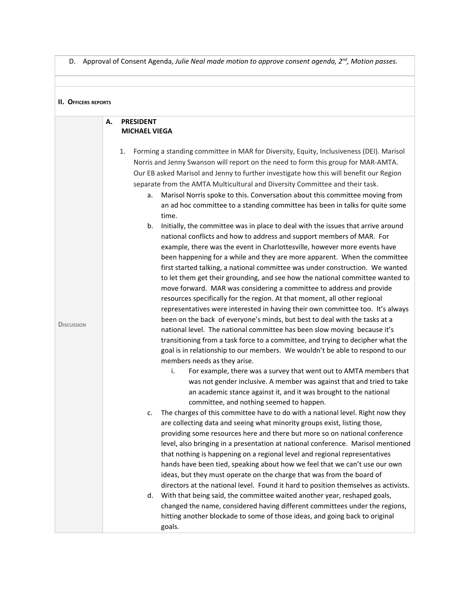D. Approval of Consent Agenda, *Julie Neal made motion to approve consent agenda, 2 nd , Motion passes.*

| <b>II. OFFICERS REPORTS</b> |    |                                                                                                                                                                                                                                                                                                                                                                                                                                                                                                                                                                                                                                                                                                                                                                                                                                                                                                                                                                                                                                                                                                                                                                                                                                                                                                                                                                                                                                                                                                                                                                                                                                                                                                                                                                                                                                                                                                                                                                                                                                                                                                                                                                                                                                                                                                                                                                                                                                                                                                                                              |
|-----------------------------|----|----------------------------------------------------------------------------------------------------------------------------------------------------------------------------------------------------------------------------------------------------------------------------------------------------------------------------------------------------------------------------------------------------------------------------------------------------------------------------------------------------------------------------------------------------------------------------------------------------------------------------------------------------------------------------------------------------------------------------------------------------------------------------------------------------------------------------------------------------------------------------------------------------------------------------------------------------------------------------------------------------------------------------------------------------------------------------------------------------------------------------------------------------------------------------------------------------------------------------------------------------------------------------------------------------------------------------------------------------------------------------------------------------------------------------------------------------------------------------------------------------------------------------------------------------------------------------------------------------------------------------------------------------------------------------------------------------------------------------------------------------------------------------------------------------------------------------------------------------------------------------------------------------------------------------------------------------------------------------------------------------------------------------------------------------------------------------------------------------------------------------------------------------------------------------------------------------------------------------------------------------------------------------------------------------------------------------------------------------------------------------------------------------------------------------------------------------------------------------------------------------------------------------------------------|
| <b>DISCUSSION</b>           | А. | <b>PRESIDENT</b><br><b>MICHAEL VIEGA</b><br>Forming a standing committee in MAR for Diversity, Equity, Inclusiveness (DEI). Marisol<br>1.<br>Norris and Jenny Swanson will report on the need to form this group for MAR-AMTA.<br>Our EB asked Marisol and Jenny to further investigate how this will benefit our Region<br>separate from the AMTA Multicultural and Diversity Committee and their task.<br>Marisol Norris spoke to this. Conversation about this committee moving from<br>a.<br>an ad hoc committee to a standing committee has been in talks for quite some<br>time.<br>Initially, the committee was in place to deal with the issues that arrive around<br>b.<br>national conflicts and how to address and support members of MAR. For<br>example, there was the event in Charlottesville, however more events have<br>been happening for a while and they are more apparent. When the committee<br>first started talking, a national committee was under construction. We wanted<br>to let them get their grounding, and see how the national committee wanted to<br>move forward. MAR was considering a committee to address and provide<br>resources specifically for the region. At that moment, all other regional<br>representatives were interested in having their own committee too. It's always<br>been on the back of everyone's minds, but best to deal with the tasks at a<br>national level. The national committee has been slow moving because it's<br>transitioning from a task force to a committee, and trying to decipher what the<br>goal is in relationship to our members. We wouldn't be able to respond to our<br>members needs as they arise.<br>i.<br>For example, there was a survey that went out to AMTA members that<br>was not gender inclusive. A member was against that and tried to take<br>an academic stance against it, and it was brought to the national<br>committee, and nothing seemed to happen.<br>The charges of this committee have to do with a national level. Right now they<br>c.<br>are collecting data and seeing what minority groups exist, listing those,<br>providing some resources here and there but more so on national conference<br>level, also bringing in a presentation at national conference. Marisol mentioned<br>that nothing is happening on a regional level and regional representatives<br>hands have been tied, speaking about how we feel that we can't use our own<br>ideas, but they must operate on the charge that was from the board of |
|                             |    | directors at the national level. Found it hard to position themselves as activists.<br>With that being said, the committee waited another year, reshaped goals,<br>d.<br>changed the name, considered having different committees under the regions,<br>hitting another blockade to some of those ideas, and going back to original<br>goals.                                                                                                                                                                                                                                                                                                                                                                                                                                                                                                                                                                                                                                                                                                                                                                                                                                                                                                                                                                                                                                                                                                                                                                                                                                                                                                                                                                                                                                                                                                                                                                                                                                                                                                                                                                                                                                                                                                                                                                                                                                                                                                                                                                                                |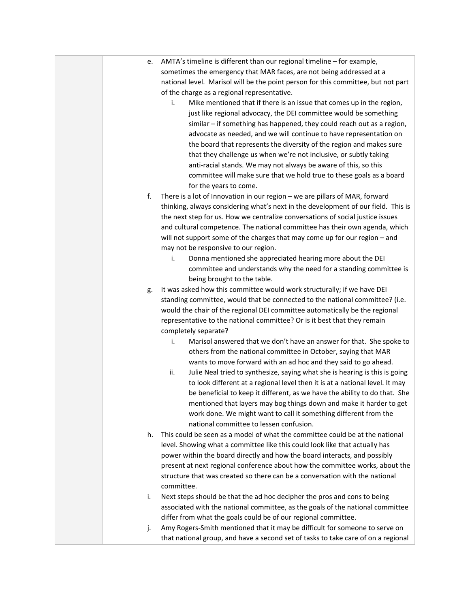| e. | AMTA's timeline is different than our regional timeline - for example,                                                            |
|----|-----------------------------------------------------------------------------------------------------------------------------------|
|    | sometimes the emergency that MAR faces, are not being addressed at a                                                              |
|    | national level. Marisol will be the point person for this committee, but not part                                                 |
|    | of the charge as a regional representative.                                                                                       |
|    | Mike mentioned that if there is an issue that comes up in the region,<br>i.                                                       |
|    | just like regional advocacy, the DEI committee would be something                                                                 |
|    | similar - if something has happened, they could reach out as a region,                                                            |
|    | advocate as needed, and we will continue to have representation on                                                                |
|    | the board that represents the diversity of the region and makes sure                                                              |
|    | that they challenge us when we're not inclusive, or subtly taking                                                                 |
|    | anti-racial stands. We may not always be aware of this, so this                                                                   |
|    | committee will make sure that we hold true to these goals as a board                                                              |
|    | for the years to come.                                                                                                            |
| f. | There is a lot of Innovation in our region - we are pillars of MAR, forward                                                       |
|    | thinking, always considering what's next in the development of our field. This is                                                 |
|    | the next step for us. How we centralize conversations of social justice issues                                                    |
|    | and cultural competence. The national committee has their own agenda, which                                                       |
|    | will not support some of the charges that may come up for our region - and                                                        |
|    | may not be responsive to our region.                                                                                              |
|    | Donna mentioned she appreciated hearing more about the DEI<br>i.                                                                  |
|    | committee and understands why the need for a standing committee is                                                                |
|    | being brought to the table.                                                                                                       |
| g. | It was asked how this committee would work structurally; if we have DEI                                                           |
|    | standing committee, would that be connected to the national committee? (i.e.                                                      |
|    | would the chair of the regional DEI committee automatically be the regional                                                       |
|    | representative to the national committee? Or is it best that they remain                                                          |
|    | completely separate?                                                                                                              |
|    | Marisol answered that we don't have an answer for that. She spoke to<br>i.                                                        |
|    | others from the national committee in October, saying that MAR<br>wants to move forward with an ad hoc and they said to go ahead. |
|    | ii.<br>Julie Neal tried to synthesize, saying what she is hearing is this is going                                                |
|    | to look different at a regional level then it is at a national level. It may                                                      |
|    | be beneficial to keep it different, as we have the ability to do that. She                                                        |
|    | mentioned that layers may bog things down and make it harder to get                                                               |
|    | work done. We might want to call it something different from the                                                                  |
|    | national committee to lessen confusion.                                                                                           |
| h. | This could be seen as a model of what the committee could be at the national                                                      |
|    | level. Showing what a committee like this could look like that actually has                                                       |
|    | power within the board directly and how the board interacts, and possibly                                                         |
|    | present at next regional conference about how the committee works, about the                                                      |
|    | structure that was created so there can be a conversation with the national                                                       |
|    | committee.                                                                                                                        |
| i. | Next steps should be that the ad hoc decipher the pros and cons to being                                                          |
|    | associated with the national committee, as the goals of the national committee                                                    |
|    | differ from what the goals could be of our regional committee.                                                                    |
| j. | Amy Rogers-Smith mentioned that it may be difficult for someone to serve on                                                       |
|    | that national group, and have a second set of tasks to take care of on a regional                                                 |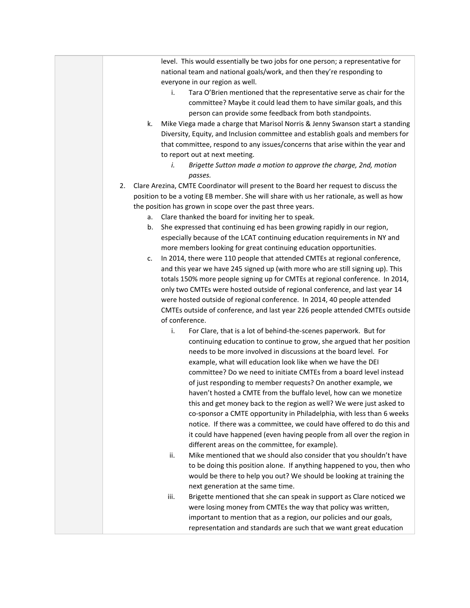| level. This would essentially be two jobs for one person; a representative for<br>national team and national goals/work, and then they're responding to                                                                                                |
|--------------------------------------------------------------------------------------------------------------------------------------------------------------------------------------------------------------------------------------------------------|
| everyone in our region as well.<br>Tara O'Brien mentioned that the representative serve as chair for the<br>i.<br>committee? Maybe it could lead them to have similar goals, and this<br>person can provide some feedback from both standpoints.       |
| Mike Viega made a charge that Marisol Norris & Jenny Swanson start a standing<br>k.<br>Diversity, Equity, and Inclusion committee and establish goals and members for<br>that committee, respond to any issues/concerns that arise within the year and |
| to report out at next meeting.<br>Brigette Sutton made a motion to approve the charge, 2nd, motion<br>i.<br>passes.                                                                                                                                    |
| Clare Arezina, CMTE Coordinator will present to the Board her request to discuss the<br>2.                                                                                                                                                             |
| position to be a voting EB member. She will share with us her rationale, as well as how                                                                                                                                                                |
| the position has grown in scope over the past three years.                                                                                                                                                                                             |
| Clare thanked the board for inviting her to speak.                                                                                                                                                                                                     |
| а.<br>She expressed that continuing ed has been growing rapidly in our region,<br>b.                                                                                                                                                                   |
| especially because of the LCAT continuing education requirements in NY and                                                                                                                                                                             |
| more members looking for great continuing education opportunities.                                                                                                                                                                                     |
| In 2014, there were 110 people that attended CMTEs at regional conference,<br>c.                                                                                                                                                                       |
| and this year we have 245 signed up (with more who are still signing up). This                                                                                                                                                                         |
| totals 150% more people signing up for CMTEs at regional conference. In 2014,                                                                                                                                                                          |
| only two CMTEs were hosted outside of regional conference, and last year 14                                                                                                                                                                            |
| were hosted outside of regional conference. In 2014, 40 people attended                                                                                                                                                                                |
| CMTEs outside of conference, and last year 226 people attended CMTEs outside                                                                                                                                                                           |
| of conference.                                                                                                                                                                                                                                         |
| For Clare, that is a lot of behind-the-scenes paperwork. But for<br>i.                                                                                                                                                                                 |
| continuing education to continue to grow, she argued that her position                                                                                                                                                                                 |
| needs to be more involved in discussions at the board level. For                                                                                                                                                                                       |
| example, what will education look like when we have the DEI                                                                                                                                                                                            |
| committee? Do we need to initiate CMTEs from a board level instead                                                                                                                                                                                     |
| of just responding to member requests? On another example, we                                                                                                                                                                                          |
| haven't hosted a CMTE from the buffalo level, how can we monetize                                                                                                                                                                                      |
| this and get money back to the region as well? We were just asked to                                                                                                                                                                                   |
| co-sponsor a CMTE opportunity in Philadelphia, with less than 6 weeks                                                                                                                                                                                  |
| notice. If there was a committee, we could have offered to do this and                                                                                                                                                                                 |
| it could have happened (even having people from all over the region in                                                                                                                                                                                 |
| different areas on the committee, for example).                                                                                                                                                                                                        |
| Mike mentioned that we should also consider that you shouldn't have<br>ii.                                                                                                                                                                             |
| to be doing this position alone. If anything happened to you, then who                                                                                                                                                                                 |
| would be there to help you out? We should be looking at training the                                                                                                                                                                                   |
| next generation at the same time.                                                                                                                                                                                                                      |
| Brigette mentioned that she can speak in support as Clare noticed we<br>iii.                                                                                                                                                                           |
| were losing money from CMTEs the way that policy was written,                                                                                                                                                                                          |
| important to mention that as a region, our policies and our goals,                                                                                                                                                                                     |
| representation and standards are such that we want great education                                                                                                                                                                                     |
|                                                                                                                                                                                                                                                        |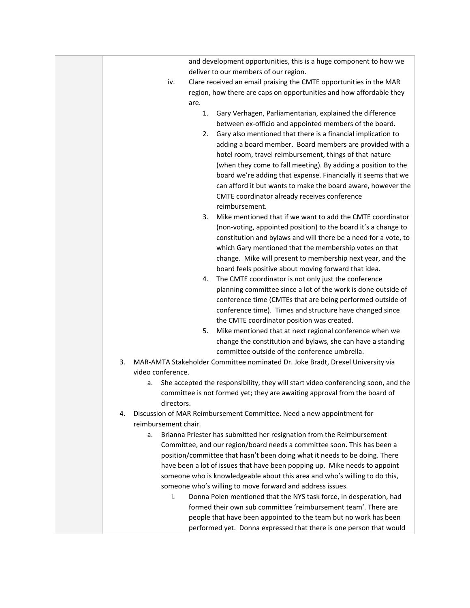|    | and development opportunities, this is a huge component to how we                       |
|----|-----------------------------------------------------------------------------------------|
|    | deliver to our members of our region.                                                   |
|    | Clare received an email praising the CMTE opportunities in the MAR<br>iv.               |
|    | region, how there are caps on opportunities and how affordable they                     |
|    | are.                                                                                    |
|    | 1.<br>Gary Verhagen, Parliamentarian, explained the difference                          |
|    | between ex-officio and appointed members of the board.                                  |
|    | Gary also mentioned that there is a financial implication to<br>2.                      |
|    | adding a board member. Board members are provided with a                                |
|    | hotel room, travel reimbursement, things of that nature                                 |
|    | (when they come to fall meeting). By adding a position to the                           |
|    | board we're adding that expense. Financially it seems that we                           |
|    | can afford it but wants to make the board aware, however the                            |
|    | CMTE coordinator already receives conference<br>reimbursement.                          |
|    | Mike mentioned that if we want to add the CMTE coordinator<br>3.                        |
|    | (non-voting, appointed position) to the board it's a change to                          |
|    | constitution and bylaws and will there be a need for a vote, to                         |
|    | which Gary mentioned that the membership votes on that                                  |
|    | change. Mike will present to membership next year, and the                              |
|    | board feels positive about moving forward that idea.                                    |
|    | The CMTE coordinator is not only just the conference<br>4.                              |
|    | planning committee since a lot of the work is done outside of                           |
|    | conference time (CMTEs that are being performed outside of                              |
|    | conference time). Times and structure have changed since                                |
|    | the CMTE coordinator position was created.                                              |
|    | Mike mentioned that at next regional conference when we<br>5.                           |
|    | change the constitution and bylaws, she can have a standing                             |
|    | committee outside of the conference umbrella.                                           |
| 3. | MAR-AMTA Stakeholder Committee nominated Dr. Joke Bradt, Drexel University via          |
|    | video conference.                                                                       |
|    | She accepted the responsibility, they will start video conferencing soon, and the<br>а. |
|    | committee is not formed yet; they are awaiting approval from the board of<br>directors. |
| 4. | Discussion of MAR Reimbursement Committee. Need a new appointment for                   |
|    | reimbursement chair.                                                                    |
|    | Brianna Priester has submitted her resignation from the Reimbursement<br>a.             |
|    | Committee, and our region/board needs a committee soon. This has been a                 |
|    | position/committee that hasn't been doing what it needs to be doing. There              |
|    | have been a lot of issues that have been popping up. Mike needs to appoint              |
|    | someone who is knowledgeable about this area and who's willing to do this,              |
|    | someone who's willing to move forward and address issues.                               |
|    | Donna Polen mentioned that the NYS task force, in desperation, had<br>i.                |
|    | formed their own sub committee 'reimbursement team'. There are                          |
|    | people that have been appointed to the team but no work has been                        |
|    | performed yet. Donna expressed that there is one person that would                      |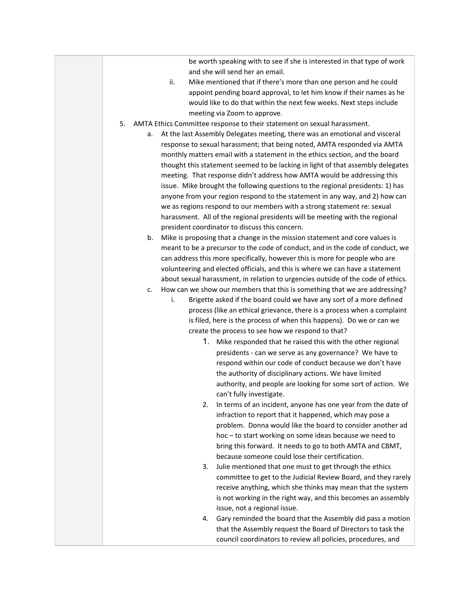be worth speaking with to see if she is interested in that type of work and she will send her an email.

- ii. Mike mentioned that if there's more than one person and he could appoint pending board approval, to let him know if their names as he would like to do that within the next few weeks. Next steps include meeting via Zoom to approve.
- 5. AMTA Ethics Committee response to their statement on sexual harassment.
	- a. At the last Assembly Delegates meeting, there was an emotional and visceral response to sexual harassment; that being noted, AMTA responded via AMTA monthly matters email with a statement in the ethics section, and the board thought this statement seemed to be lacking in light of that assembly delegates meeting. That response didn't address how AMTA would be addressing this issue. Mike brought the following questions to the regional presidents: 1) has anyone from your region respond to the statement in any way, and 2) how can we as regions respond to our members with a strong statement re: sexual harassment. All of the regional presidents will be meeting with the regional president coordinator to discuss this concern.
		- b. Mike is proposing that a change in the mission statement and core values is meant to be a precursor to the code of conduct, and in the code of conduct, we can address this more specifically, however this is more for people who are volunteering and elected officials, and this is where we can have a statement about sexual harassment, in relation to urgencies outside of the code of ethics.
		- c. How can we show our members that this is something that we are addressing?
			- i. Brigette asked if the board could we have any sort of a more defined process (like an ethical grievance, there is a process when a complaint is filed, here is the process of when this happens). Do we or can we create the process to see how we respond to that?
				- 1. Mike responded that he raised this with the other regional presidents - can we serve as any governance? We have to respond within our code of conduct because we don't have the authority of disciplinary actions. We have limited authority, and people are looking for some sort of action. We can't fully investigate.
				- 2. In terms of an incident, anyone has one year from the date of infraction to report that it happened, which may pose a problem. Donna would like the board to consider another ad hoc – to start working on some ideas because we need to bring this forward. It needs to go to both AMTA and CBMT, because someone could lose their certification.
				- 3. Julie mentioned that one must to get through the ethics committee to get to the Judicial Review Board, and they rarely receive anything, which she thinks may mean that the system is not working in the right way, and this becomes an assembly issue, not a regional issue.
				- 4. Gary reminded the board that the Assembly did pass a motion that the Assembly request the Board of Directors to task the council coordinators to review all policies, procedures, and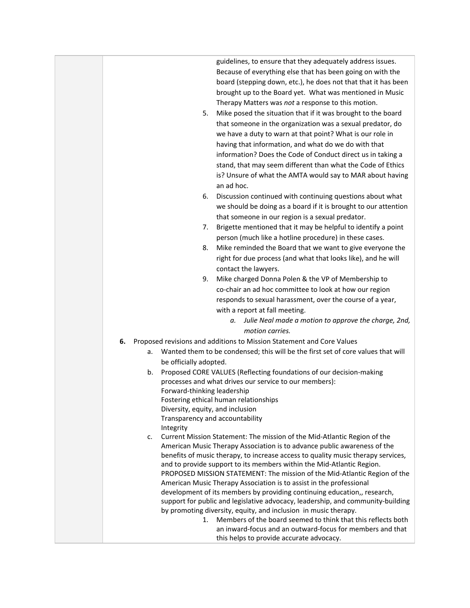guidelines, to ensure that they adequately address issues. Because of everything else that has been going on with the board (stepping down, etc.), he does not that that it has been brought up to the Board yet. What was mentioned in Music Therapy Matters was *not* a response to this motion. 5. Mike posed the situation that if it was brought to the board that someone in the organization was a sexual predator, do we have a duty to warn at that point? What is our role in having that information, and what do we do with that information? Does the Code of Conduct direct us in taking a stand, that may seem different than what the Code of Ethics is? Unsure of what the AMTA would say to MAR about having an ad hoc. 6. Discussion continued with continuing questions about what we should be doing as a board if it is brought to our attention that someone in our region is a sexual predator. 7. Brigette mentioned that it may be helpful to identify a point person (much like a hotline procedure) in these cases. 8. Mike reminded the Board that we want to give everyone the right for due process (and what that looks like), and he will contact the lawyers. 9. Mike charged Donna Polen & the VP of Membership to co-chair an ad hoc committee to look at how our region responds to sexual harassment, over the course of a year, with a report at fall meeting. *a. Julie Neal made a motion to approve the charge, 2nd, motion carries.* **6.** Proposed revisions and additions to Mission Statement and Core Values a. Wanted them to be condensed; this will be the first set of core values that will be officially adopted. b. Proposed CORE VALUES (Reflecting foundations of our decision-making processes and what drives our service to our members): Forward-thinking leadership Fostering ethical human relationships Diversity, equity, and inclusion Transparency and accountability Integrity c. Current Mission Statement: The mission of the Mid-Atlantic Region of the American Music Therapy Association is to advance public awareness of the benefits of music therapy, to increase access to quality music therapy services, and to provide support to its members within the Mid-Atlantic Region. PROPOSED MISSION STATEMENT: The mission of the Mid-Atlantic Region of the American Music Therapy Association is to assist in the professional development of its members by providing continuing education,, research, support for public and legislative advocacy, leadership, and community-building by promoting diversity, equity, and inclusion in music therapy. 1. Members of the board seemed to think that this reflects both an inward-focus and an outward-focus for members and that this helps to provide accurate advocacy.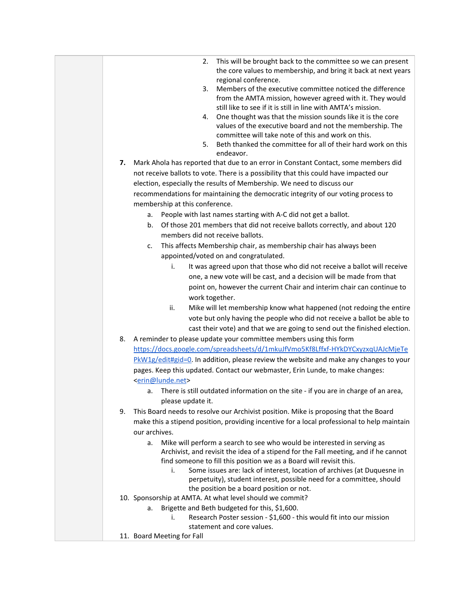|    | This will be brought back to the committee so we can present<br>2.<br>the core values to membership, and bring it back at next years<br>regional conference.                                  |
|----|-----------------------------------------------------------------------------------------------------------------------------------------------------------------------------------------------|
|    | Members of the executive committee noticed the difference<br>3.<br>from the AMTA mission, however agreed with it. They would<br>still like to see if it is still in line with AMTA's mission. |
|    | One thought was that the mission sounds like it is the core<br>4.<br>values of the executive board and not the membership. The<br>committee will take note of this and work on this.          |
|    | Beth thanked the committee for all of their hard work on this<br>5.<br>endeavor.                                                                                                              |
| 7. | Mark Ahola has reported that due to an error in Constant Contact, some members did                                                                                                            |
|    | not receive ballots to vote. There is a possibility that this could have impacted our                                                                                                         |
|    | election, especially the results of Membership. We need to discuss our                                                                                                                        |
|    | recommendations for maintaining the democratic integrity of our voting process to                                                                                                             |
|    | membership at this conference.                                                                                                                                                                |
|    | People with last names starting with A-C did not get a ballot.<br>a.                                                                                                                          |
|    | Of those 201 members that did not receive ballots correctly, and about 120<br>b.                                                                                                              |
|    | members did not receive ballots.                                                                                                                                                              |
|    | This affects Membership chair, as membership chair has always been<br>c.                                                                                                                      |
|    | appointed/voted on and congratulated.                                                                                                                                                         |
|    | It was agreed upon that those who did not receive a ballot will receive<br>i.                                                                                                                 |
|    | one, a new vote will be cast, and a decision will be made from that                                                                                                                           |
|    | point on, however the current Chair and interim chair can continue to                                                                                                                         |
|    | work together.                                                                                                                                                                                |
|    | Mike will let membership know what happened (not redoing the entire<br>ii.                                                                                                                    |
|    | vote but only having the people who did not receive a ballot be able to                                                                                                                       |
|    | cast their vote) and that we are going to send out the finished election.                                                                                                                     |
| 8. | A reminder to please update your committee members using this form                                                                                                                            |
|    | https://docs.google.com/spreadsheets/d/1mkuJfVmo5Kf8Lffxf-HYkDYCxyzxqUAJcMjeTe                                                                                                                |
|    | $PKW1g/edit#gid=0$ . In addition, please review the website and make any changes to your                                                                                                      |
|    | pages. Keep this updated. Contact our webmaster, Erin Lunde, to make changes:                                                                                                                 |
|    | <erin@lunde.net></erin@lunde.net>                                                                                                                                                             |
|    | There is still outdated information on the site - if you are in charge of an area,<br>a.                                                                                                      |
|    | please update it.                                                                                                                                                                             |
| 9. | This Board needs to resolve our Archivist position. Mike is proposing that the Board                                                                                                          |
|    | make this a stipend position, providing incentive for a local professional to help maintain                                                                                                   |
|    | our archives.                                                                                                                                                                                 |
|    | Mike will perform a search to see who would be interested in serving as<br>a.                                                                                                                 |
|    | Archivist, and revisit the idea of a stipend for the Fall meeting, and if he cannot<br>find someone to fill this position we as a Board will revisit this.                                    |
|    | Some issues are: lack of interest, location of archives (at Duquesne in<br>i.                                                                                                                 |
|    | perpetuity), student interest, possible need for a committee, should                                                                                                                          |
|    | the position be a board position or not.                                                                                                                                                      |
|    | 10. Sponsorship at AMTA. At what level should we commit?                                                                                                                                      |
|    | Brigette and Beth budgeted for this, \$1,600.<br>a.                                                                                                                                           |
|    | Research Poster session - \$1,600 - this would fit into our mission<br>i.                                                                                                                     |
|    | statement and core values.                                                                                                                                                                    |
|    | 11. Board Meeting for Fall                                                                                                                                                                    |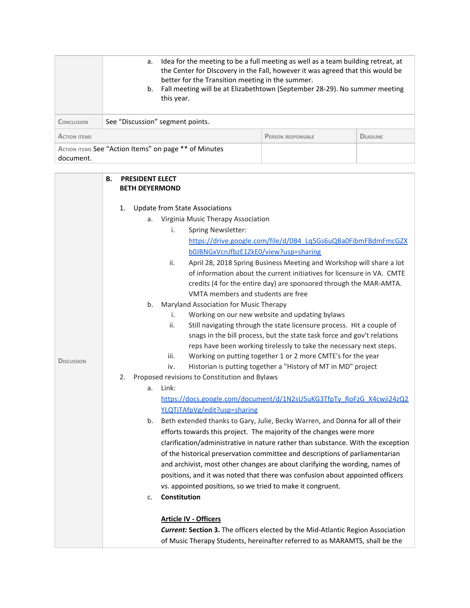|                                                                    | а.                               | Idea for the meeting to be a full meeting as well as a team building retreat, at<br>the Center for DIscovery in the Fall, however it was agreed that this would be<br>better for the Transition meeting in the summer.<br>b. Fall meeting will be at Elizabethtown (September 28-29). No summer meeting<br>this year. |                           |                 |
|--------------------------------------------------------------------|----------------------------------|-----------------------------------------------------------------------------------------------------------------------------------------------------------------------------------------------------------------------------------------------------------------------------------------------------------------------|---------------------------|-----------------|
| <b>CONCLUSION</b>                                                  | See "Discussion" segment points. |                                                                                                                                                                                                                                                                                                                       |                           |                 |
| <b>ACTION ITEMS</b>                                                |                                  |                                                                                                                                                                                                                                                                                                                       | <b>PERSON RESPONSIBLE</b> | <b>DEADLINE</b> |
| ACTION ITEMS See "Action Items" on page ** of Minutes<br>document. |                                  |                                                                                                                                                                                                                                                                                                                       |                           |                 |

|                   | <b>PRESIDENT ELECT</b><br>В.<br><b>BETH DEYERMOND</b>                                  |  |
|-------------------|----------------------------------------------------------------------------------------|--|
|                   |                                                                                        |  |
|                   | 1.<br><b>Update from State Associations</b>                                            |  |
|                   | Virginia Music Therapy Association<br>а.                                               |  |
|                   | <b>Spring Newsletter:</b><br>i.                                                        |  |
|                   | https://drive.google.com/file/d/0B4_Lq5Gs6uQBa0FibmFBdmFmcGZX                          |  |
|                   | b0JBNGxVcnJfbzE1ZkE0/view?usp=sharing                                                  |  |
|                   | ii.<br>April 28, 2018 Spring Business Meeting and Workshop will share a lot            |  |
|                   | of information about the current initiatives for licensure in VA. CMTE                 |  |
|                   | credits (4 for the entire day) are sponsored through the MAR-AMTA.                     |  |
|                   | VMTA members and students are free                                                     |  |
|                   | Maryland Association for Music Therapy<br>b.                                           |  |
|                   | Working on our new website and updating bylaws<br>i.                                   |  |
|                   | Still navigating through the state licensure process. Hit a couple of<br>ii.           |  |
|                   | snags in the bill process, but the state task force and gov't relations                |  |
|                   | reps have been working tirelessly to take the necessary next steps.                    |  |
| <b>DISCUSSION</b> | Working on putting together 1 or 2 more CMTE's for the year<br>iii.                    |  |
|                   | Historian is putting together a "History of MT in MD" project<br>iv.                   |  |
|                   | 2.<br>Proposed revisions to Constitution and Bylaws                                    |  |
|                   | Link:<br>a.                                                                            |  |
|                   | https://docs.google.com/document/d/1N2sU5uKG3TfpTy_RoFzG_X4cwji24zQ2                   |  |
|                   | YLQTjTAfpVg/edit?usp=sharing                                                           |  |
|                   | Beth extended thanks to Gary, Julie, Becky Warren, and Donna for all of their<br>b.    |  |
|                   | efforts towards this project. The majority of the changes were more                    |  |
|                   | clarification/administrative in nature rather than substance. With the exception       |  |
|                   | of the historical preservation committee and descriptions of parliamentarian           |  |
|                   | and archivist, most other changes are about clarifying the wording, names of           |  |
|                   | positions, and it was noted that there was confusion about appointed officers          |  |
|                   | vs. appointed positions, so we tried to make it congruent.                             |  |
|                   | Constitution<br>c.                                                                     |  |
|                   | <b>Article IV - Officers</b>                                                           |  |
|                   | <b>Current: Section 3.</b> The officers elected by the Mid-Atlantic Region Association |  |
|                   | of Music Therapy Students, hereinafter referred to as MARAMTS, shall be the            |  |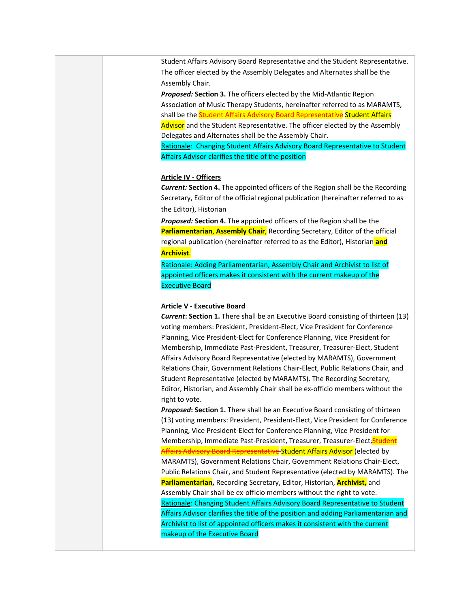Student Affairs Advisory Board Representative and the Student Representative. The officer elected by the Assembly Delegates and Alternates shall be the Assembly Chair.

*Proposed:* **Section 3.** The officers elected by the Mid-Atlantic Region Association of Music Therapy Students, hereinafter referred to as MARAMTS, shall be the **Student Affairs Advisory Board Representative Student Affairs** Advisor and the Student Representative. The officer elected by the Assembly Delegates and Alternates shall be the Assembly Chair.

Rationale: Changing Student Affairs Advisory Board Representative to Student Affairs Advisor clarifies the title of the position

## **Article IV - Officers**

*Current:* **Section 4.** The appointed officers of the Region shall be the Recording Secretary, Editor of the official regional publication (hereinafter referred to as the Editor), Historian

*Proposed:* **Section 4.** The appointed officers of the Region shall be the **Parliamentarian**, **Assembly Chair**, Recording Secretary, Editor of the official regional publication (hereinafter referred to as the Editor), Historian **and Archivist**.

Rationale: Adding Parliamentarian, Assembly Chair and Archivist to list of appointed officers makes it consistent with the current makeup of the Executive Board

## **Article V - Executive Board**

*Current***: Section 1.** There shall be an Executive Board consisting of thirteen (13) voting members: President, President-Elect, Vice President for Conference Planning, Vice President-Elect for Conference Planning, Vice President for Membership, Immediate Past-President, Treasurer, Treasurer-Elect, Student Affairs Advisory Board Representative (elected by MARAMTS), Government Relations Chair, Government Relations Chair-Elect, Public Relations Chair, and Student Representative (elected by MARAMTS). The Recording Secretary, Editor, Historian, and Assembly Chair shall be ex-officio members without the right to vote.

*Proposed***: Section 1.** There shall be an Executive Board consisting of thirteen (13) voting members: President, President-Elect, Vice President for Conference Planning, Vice President-Elect for Conference Planning, Vice President for Membership, Immediate Past-President, Treasurer, Treasurer-Elect, Student Affairs Advisory Board Representative Student Affairs Advisor (elected by MARAMTS), Government Relations Chair, Government Relations Chair-Elect, Public Relations Chair, and Student Representative (elected by MARAMTS). The **Parliamentarian,** Recording Secretary, Editor, Historian, **Archivist,** and Assembly Chair shall be ex-officio members without the right to vote. Rationale: Changing Student Affairs Advisory Board Representative to Student Affairs Advisor clarifies the title of the position and adding Parliamentarian and Archivist to list of appointed officers makes it consistent with the current makeup of the Executive Board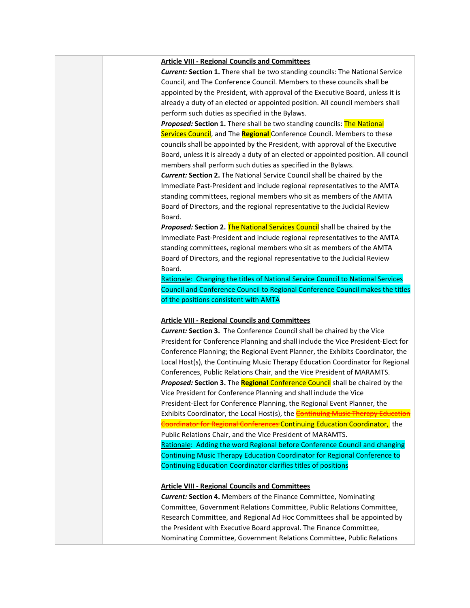### **Article VIII - Regional Councils and Committees**

*Current:* **Section 1.** There shall be two standing councils: The National Service Council, and The Conference Council. Members to these councils shall be appointed by the President, with approval of the Executive Board, unless it is already a duty of an elected or appointed position. All council members shall perform such duties as specified in the Bylaws.

*Proposed:* **Section 1.** There shall be two standing councils: The National Services Council, and The **Regional** Conference Council. Members to these councils shall be appointed by the President, with approval of the Executive Board, unless it is already a duty of an elected or appointed position. All council members shall perform such duties as specified in the Bylaws.

*Current:* **Section 2.** The National Service Council shall be chaired by the Immediate Past-President and include regional representatives to the AMTA standing committees, regional members who sit as members of the AMTA Board of Directors, and the regional representative to the Judicial Review Board.

*Proposed:* **Section 2.** The National Services Council shall be chaired by the Immediate Past-President and include regional representatives to the AMTA standing committees, regional members who sit as members of the AMTA Board of Directors, and the regional representative to the Judicial Review Board.

Rationale: Changing the titles of National Service Council to National Services Council and Conference Council to Regional Conference Council makes the titles of the positions consistent with AMTA

## **Article VIII - Regional Councils and Committees**

*Current:* **Section 3.** The Conference Council shall be chaired by the Vice President for Conference Planning and shall include the Vice President-Elect for Conference Planning; the Regional Event Planner, the Exhibits Coordinator, the Local Host(s), the Continuing Music Therapy Education Coordinator for Regional Conferences, Public Relations Chair, and the Vice President of MARAMTS. *Proposed:* **Section 3.** The **Regional** Conference Council shall be chaired by the Vice President for Conference Planning and shall include the Vice President-Elect for Conference Planning, the Regional Event Planner, the Exhibits Coordinator, the Local Host(s), the **Continuing Music Therapy Education** Coordinator for Regional Conferences Continuing Education Coordinator, the Public Relations Chair, and the Vice President of MARAMTS. Rationale: Adding the word Regional before Conference Council and changing Continuing Music Therapy Education Coordinator for Regional Conference to Continuing Education Coordinator clarifies titles of positions

## **Article VIII - Regional Councils and Committees**

*Current:* **Section 4.** Members of the Finance Committee, Nominating Committee, Government Relations Committee, Public Relations Committee, Research Committee, and Regional Ad Hoc Committees shall be appointed by the President with Executive Board approval. The Finance Committee, Nominating Committee, Government Relations Committee, Public Relations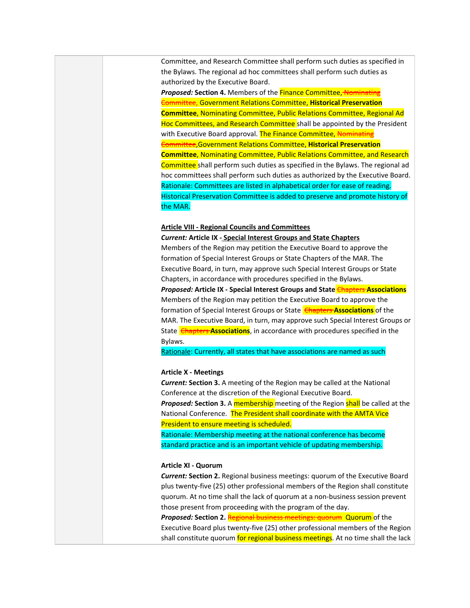Committee, and Research Committee shall perform such duties as specified in the Bylaws. The regional ad hoc committees shall perform such duties as authorized by the Executive Board.

**Proposed: Section 4.** Members of the **Finance Committee, Nominating** Committee, Government Relations Committee, **Historical Preservation Committee**, Nominating Committee, Public Relations Committee, Regional Ad Hoc Committees, and Research Committee shall be appointed by the President with Executive Board approval. The Finance Committee, Nominating Committee,Government Relations Committee, **Historical Preservation Committee**, Nominating Committee, Public Relations Committee, and Research Committee shall perform such duties as specified in the Bylaws. The regional ad hoc committees shall perform such duties as authorized by the Executive Board. Rationale: Committees are listed in alphabetical order for ease of reading. Historical Preservation Committee is added to preserve and promote history of the MAR.

## **Article VIII - Regional Councils and Committees**

*Current:* **Article IX - Special Interest Groups and State Chapters**

Members of the Region may petition the Executive Board to approve the formation of Special Interest Groups or State Chapters of the MAR. The Executive Board, in turn, may approve such Special Interest Groups or State Chapters, in accordance with procedures specified in the Bylaws.

*Proposed:* **Article IX - Special Interest Groups and State** Chapters **Associations** Members of the Region may petition the Executive Board to approve the formation of Special Interest Groups or State **Chapters Associations** of the MAR. The Executive Board, in turn, may approve such Special Interest Groups or State **Chapters Associations**, in accordance with procedures specified in the Bylaws.

Rationale: Currently, all states that have associations are named as such

### **Article X - Meetings**

*Current:* **Section 3.** A meeting of the Region may be called at the National Conference at the discretion of the Regional Executive Board. *Proposed:* **Section 3.** A membership meeting of the Region shall be called at the National Conference. The President shall coordinate with the AMTA Vice President to ensure meeting is scheduled.

Rationale: Membership meeting at the national conference has become standard practice and is an important vehicle of updating membership.

### **Article XI - Quorum**

*Current:* **Section 2.** Regional business meetings: quorum of the Executive Board plus twenty-five (25) other professional members of the Region shall constitute quorum. At no time shall the lack of quorum at a non-business session prevent those present from proceeding with the program of the day.

**Proposed: Section 2.** Regional business meetings: quorum Quorum of the Executive Board plus twenty-five (25) other professional members of the Region shall constitute quorum for regional business meetings. At no time shall the lack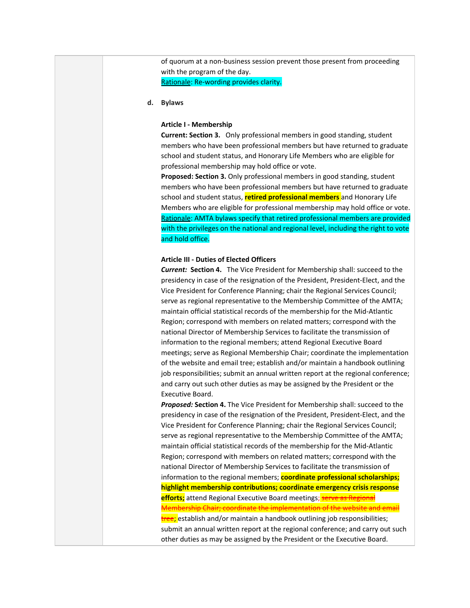of quorum at a non-business session prevent those present from proceeding with the program of the day. Rationale: Re-wording provides clarity.

**d. Bylaws**

### **Article I - Membership**

**Current: Section 3.** Only professional members in good standing, student members who have been professional members but have returned to graduate school and student status, and Honorary Life Members who are eligible for professional membership may hold office or vote.

**Proposed: Section 3.** Only professional members in good standing, student members who have been professional members but have returned to graduate school and student status, **retired professional members** and Honorary Life Members who are eligible for professional membership may hold office or vote. Rationale: AMTA bylaws specify that retired professional members are provided with the privileges on the national and regional level, including the right to vote and hold office.

## **Article III - Duties of Elected Officers**

*Current:* **Section 4.** The Vice President for Membership shall: succeed to the presidency in case of the resignation of the President, President-Elect, and the Vice President for Conference Planning; chair the Regional Services Council; serve as regional representative to the Membership Committee of the AMTA; maintain official statistical records of the membership for the Mid-Atlantic Region; correspond with members on related matters; correspond with the national Director of Membership Services to facilitate the transmission of information to the regional members; attend Regional Executive Board meetings; serve as Regional Membership Chair; coordinate the implementation of the website and email tree; establish and/or maintain a handbook outlining job responsibilities; submit an annual written report at the regional conference; and carry out such other duties as may be assigned by the President or the Executive Board.

*Proposed:* **Section 4.** The Vice President for Membership shall: succeed to the presidency in case of the resignation of the President, President-Elect, and the Vice President for Conference Planning; chair the Regional Services Council; serve as regional representative to the Membership Committee of the AMTA; maintain official statistical records of the membership for the Mid-Atlantic Region; correspond with members on related matters; correspond with the national Director of Membership Services to facilitate the transmission of information to the regional members; **coordinate professional scholarships; highlight membership contributions; coordinate emergency crisis response efforts;** attend Regional Executive Board meetings; **serve as Regional** Membership Chair; coordinate the implementation of the website and email tree; establish and/or maintain a handbook outlining job responsibilities; submit an annual written report at the regional conference; and carry out such other duties as may be assigned by the President or the Executive Board.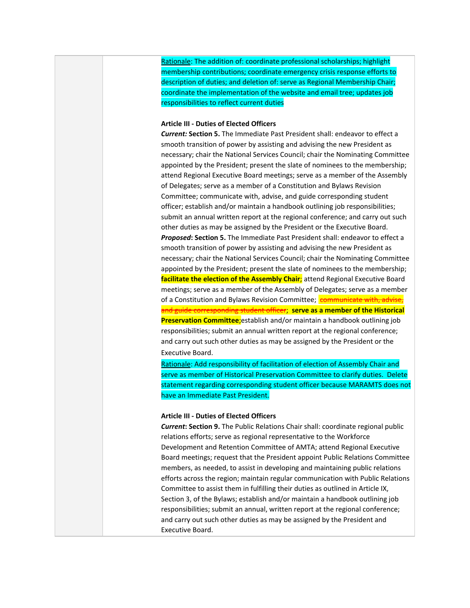Rationale: The addition of: coordinate professional scholarships; highlight membership contributions; coordinate emergency crisis response efforts to description of duties; and deletion of: serve as Regional Membership Chair; coordinate the implementation of the website and email tree; updates job responsibilities to reflect current duties

## **Article III - Duties of Elected Officers**

*Current:* **Section 5.** The Immediate Past President shall: endeavor to effect a smooth transition of power by assisting and advising the new President as necessary; chair the National Services Council; chair the Nominating Committee appointed by the President; present the slate of nominees to the membership; attend Regional Executive Board meetings; serve as a member of the Assembly of Delegates; serve as a member of a Constitution and Bylaws Revision Committee; communicate with, advise, and guide corresponding student officer; establish and/or maintain a handbook outlining job responsibilities; submit an annual written report at the regional conference; and carry out such other duties as may be assigned by the President or the Executive Board. *Proposed***: Section 5.** The Immediate Past President shall: endeavor to effect a smooth transition of power by assisting and advising the new President as necessary; chair the National Services Council; chair the Nominating Committee appointed by the President; present the slate of nominees to the membership; **facilitate the election of the Assembly Chair**; attend Regional Executive Board meetings; serve as a member of the Assembly of Delegates; serve as a member of a Constitution and Bylaws Revision Committee; **communicate with, advise** and guide corresponding student officer; **serve as a member of the Historical Preservation Committee**;establish and/or maintain a handbook outlining job responsibilities; submit an annual written report at the regional conference; and carry out such other duties as may be assigned by the President or the Executive Board.

Rationale: Add responsibility of facilitation of election of Assembly Chair and serve as member of Historical Preservation Committee to clarify duties. Delete statement regarding corresponding student officer because MARAMTS does not have an Immediate Past President.

## **Article III - Duties of Elected Officers**

*Current***: Section 9.** The Public Relations Chair shall: coordinate regional public relations efforts; serve as regional representative to the Workforce Development and Retention Committee of AMTA; attend Regional Executive Board meetings; request that the President appoint Public Relations Committee members, as needed, to assist in developing and maintaining public relations efforts across the region; maintain regular communication with Public Relations Committee to assist them in fulfilling their duties as outlined in Article IX, Section 3, of the Bylaws; establish and/or maintain a handbook outlining job responsibilities; submit an annual, written report at the regional conference; and carry out such other duties as may be assigned by the President and Executive Board.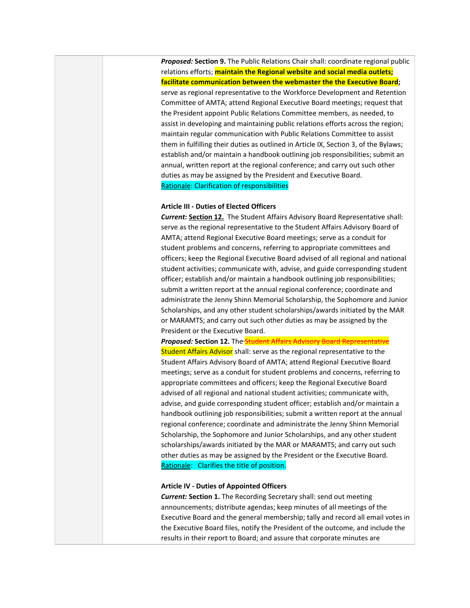*Proposed:* **Section 9.** The Public Relations Chair shall: coordinate regional public relations efforts; **maintain the Regional website and social media outlets; facilitate communication between the webmaster the the Executive Board;** serve as regional representative to the Workforce Development and Retention Committee of AMTA; attend Regional Executive Board meetings; request that the President appoint Public Relations Committee members, as needed, to assist in developing and maintaining public relations efforts across the region; maintain regular communication with Public Relations Committee to assist them in fulfilling their duties as outlined in Article IX, Section 3, of the Bylaws; establish and/or maintain a handbook outlining job responsibilities; submit an annual, written report at the regional conference; and carry out such other duties as may be assigned by the President and Executive Board. Rationale: Clarification of responsibilities

## **Article III - Duties of Elected Officers**

*Current:* **Section 12.** The Student Affairs Advisory Board Representative shall: serve as the regional representative to the Student Affairs Advisory Board of AMTA; attend Regional Executive Board meetings; serve as a conduit for student problems and concerns, referring to appropriate committees and officers; keep the Regional Executive Board advised of all regional and national student activities; communicate with, advise, and guide corresponding student officer; establish and/or maintain a handbook outlining job responsibilities; submit a written report at the annual regional conference; coordinate and administrate the Jenny Shinn Memorial Scholarship, the Sophomore and Junior Scholarships, and any other student scholarships/awards initiated by the MAR or MARAMTS; and carry out such other duties as may be assigned by the President or the Executive Board.

**Proposed: Section 12.** The **Student Affairs Advisory Board Representative** Student Affairs Advisor shall: serve as the regional representative to the Student Affairs Advisory Board of AMTA; attend Regional Executive Board meetings; serve as a conduit for student problems and concerns, referring to appropriate committees and officers; keep the Regional Executive Board advised of all regional and national student activities; communicate with, advise, and guide corresponding student officer; establish and/or maintain a handbook outlining job responsibilities; submit a written report at the annual regional conference; coordinate and administrate the Jenny Shinn Memorial Scholarship, the Sophomore and Junior Scholarships, and any other student scholarships/awards initiated by the MAR or MARAMTS; and carry out such other duties as may be assigned by the President or the Executive Board. Rationale: Clarifies the title of position.

## **Article IV - Duties of Appointed Officers**

*Current:* **Section 1.** The Recording Secretary shall: send out meeting announcements; distribute agendas; keep minutes of all meetings of the Executive Board and the general membership; tally and record all email votes in the Executive Board files, notify the President of the outcome, and include the results in their report to Board; and assure that corporate minutes are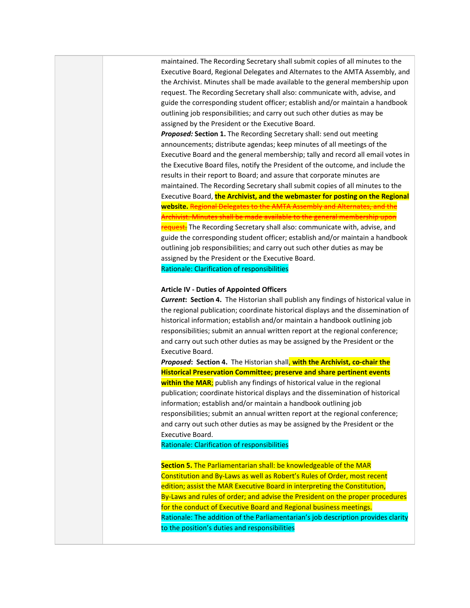maintained. The Recording Secretary shall submit copies of all minutes to the Executive Board, Regional Delegates and Alternates to the AMTA Assembly, and the Archivist. Minutes shall be made available to the general membership upon request. The Recording Secretary shall also: communicate with, advise, and guide the corresponding student officer; establish and/or maintain a handbook outlining job responsibilities; and carry out such other duties as may be assigned by the President or the Executive Board.

*Proposed:* **Section 1.** The Recording Secretary shall: send out meeting announcements; distribute agendas; keep minutes of all meetings of the Executive Board and the general membership; tally and record all email votes in the Executive Board files, notify the President of the outcome, and include the results in their report to Board; and assure that corporate minutes are maintained. The Recording Secretary shall submit copies of all minutes to the Executive Board, **the Archivist, and the webmaster for posting on the Regional website.** Regional Delegates to the AMTA Assembly and Alternates, and the hivist. Minutes shall be made available to the general membership upon request. The Recording Secretary shall also: communicate with, advise, and guide the corresponding student officer; establish and/or maintain a handbook outlining job responsibilities; and carry out such other duties as may be assigned by the President or the Executive Board. Rationale: Clarification of responsibilities

### **Article IV - Duties of Appointed Officers**

*Current***: Section 4.** The Historian shall publish any findings of historical value in the regional publication; coordinate historical displays and the dissemination of historical information; establish and/or maintain a handbook outlining job responsibilities; submit an annual written report at the regional conference; and carry out such other duties as may be assigned by the President or the Executive Board.

*Proposed***: Section 4.** The Historian shall, **with the Archivist, co-chair the Historical Preservation Committee; preserve and share pertinent events within the MAR**; publish any findings of historical value in the regional publication; coordinate historical displays and the dissemination of historical information; establish and/or maintain a handbook outlining job responsibilities; submit an annual written report at the regional conference; and carry out such other duties as may be assigned by the President or the Executive Board.

## Rationale: Clarification of responsibilities

**Section 5.** The Parliamentarian shall: be knowledgeable of the MAR Constitution and By-Laws as well as Robert's Rules of Order, most recent edition; assist the MAR Executive Board in interpreting the Constitution, By-Laws and rules of order; and advise the President on the proper procedures for the conduct of Executive Board and Regional business meetings. Rationale: The addition of the Parliamentarian's job description provides clarity to the position's duties and responsibilities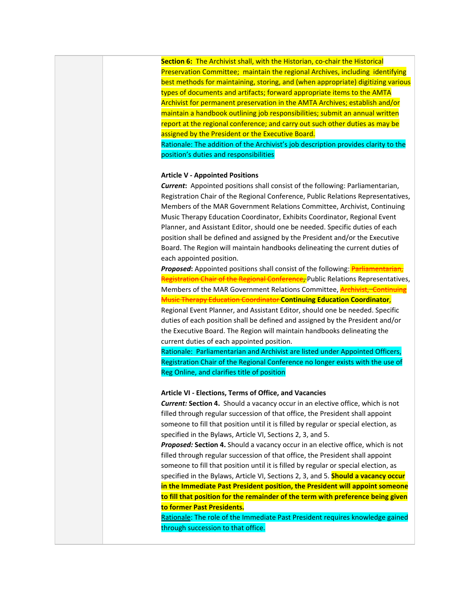**Section 6:** The Archivist shall, with the Historian, co-chair the Historical Preservation Committee; maintain the regional Archives, including identifying best methods for maintaining, storing, and (when appropriate) digitizing various types of documents and artifacts; forward appropriate items to the AMTA Archivist for permanent preservation in the AMTA Archives; establish and/or maintain a handbook outlining job responsibilities; submit an annual written report at the regional conference; and carry out such other duties as may be assigned by the President or the Executive Board.

Rationale: The addition of the Archivist's job description provides clarity to the position's duties and responsibilities

## **Article V - Appointed Positions**

*Current***:** Appointed positions shall consist of the following: Parliamentarian, Registration Chair of the Regional Conference, Public Relations Representatives, Members of the MAR Government Relations Committee, Archivist, Continuing Music Therapy Education Coordinator, Exhibits Coordinator, Regional Event Planner, and Assistant Editor, should one be needed. Specific duties of each position shall be defined and assigned by the President and/or the Executive Board. The Region will maintain handbooks delineating the current duties of each appointed position.

*Proposed***:** Appointed positions shall consist of the following: **Parliamentarian**, Registration Chair of the Regional Conference, Public Relations Representatives, Members of the MAR Government Relations Committee, **Archivist, Continuing** Music Therapy Education Coordinator **Continuing Education Coordinator**,

Regional Event Planner, and Assistant Editor, should one be needed. Specific duties of each position shall be defined and assigned by the President and/or the Executive Board. The Region will maintain handbooks delineating the current duties of each appointed position.

Rationale: Parliamentarian and Archivist are listed under Appointed Officers, Registration Chair of the Regional Conference no longer exists with the use of Reg Online, and clarifies title of position

## **Article VI - Elections, Terms of Office, and Vacancies**

*Current:* **Section 4.** Should a vacancy occur in an elective office, which is not filled through regular succession of that office, the President shall appoint someone to fill that position until it is filled by regular or special election, as specified in the Bylaws, Article VI, Sections 2, 3, and 5.

*Proposed:* **Section 4.** Should a vacancy occur in an elective office, which is not filled through regular succession of that office, the President shall appoint someone to fill that position until it is filled by regular or special election, as specified in the Bylaws, Article VI, Sections 2, 3, and 5. **Should a vacancy occur in the Immediate Past President position, the President will appoint someone to fill that position for the remainder of the term with preference being given to former Past Presidents.**

Rationale: The role of the Immediate Past President requires knowledge gained through succession to that office.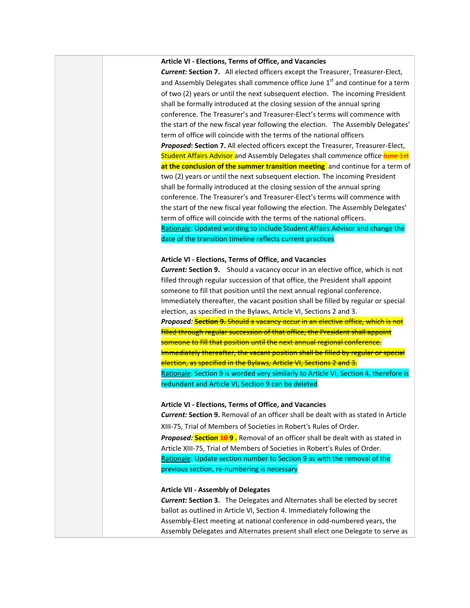## **Article VI - Elections, Terms of Office, and Vacancies**

*Current:* **Section 7.** All elected officers except the Treasurer, Treasurer-Elect, and Assembly Delegates shall commence office June 1<sup>st</sup> and continue for a term of two (2) years or until the next subsequent election. The incoming President shall be formally introduced at the closing session of the annual spring conference. The Treasurer's and Treasurer-Elect's terms will commence with the start of the new fiscal year following the election. The Assembly Delegates' term of office will coincide with the terms of the national officers *Proposed***: Section 7.** All elected officers except the Treasurer, Treasurer-Elect, Student Affairs Advisor and Assembly Delegates shall commence office June 1st **at the conclusion of the summer transition meeting** and continue for a term of two (2) years or until the next subsequent election. The incoming President shall be formally introduced at the closing session of the annual spring conference. The Treasurer's and Treasurer-Elect's terms will commence with the start of the new fiscal year following the election. The Assembly Delegates' term of office will coincide with the terms of the national officers. Rationale: Updated wording to include Student Affairs Advisor and change the date of the transition timeline reflects current practices

## **Article VI - Elections, Terms of Office, and Vacancies**

*Current:* **Section 9.** Should a vacancy occur in an elective office, which is not filled through regular succession of that office, the President shall appoint someone to fill that position until the next annual regional conference. Immediately thereafter, the vacant position shall be filled by regular or special election, as specified in the Bylaws, Article VI, Sections 2 and 3. *Proposed:* **Section 9.** Should a vacancy occur in an elective office, which is not filled through regular succession of that office, the President shall appoint someone to fill that position until the next annual regional conference. Immediately thereafter, the vacant position shall be filled by regular or special election, as specified in the Bylaws, Article VI, Sections 2 and 3. Rationale: Section 9 is worded very similarly to Article VI, Section 4, therefore is redundant and Article VI, Section 9 can be deleted

## **Article VI - Elections, Terms of Office, and Vacancies**

*Current:* **Section 9.** Removal of an officer shall be dealt with as stated in Article XIII-75, Trial of Members of Societies in Robert's Rules of Order. *Proposed:* **Section 10 9 .** Removal of an officer shall be dealt with as stated in Article XIII-75, Trial of Members of Societies in Robert's Rules of Order. Rationale: Update section number to Section 9 as with the removal of the previous section, re-numbering is necessary

## **Article VII - Assembly of Delegates**

*Current:* **Section 3.** The Delegates and Alternates shall be elected by secret ballot as outlined in Article VI, Section 4. Immediately following the Assembly-Elect meeting at national conference in odd-numbered years, the Assembly Delegates and Alternates present shall elect one Delegate to serve as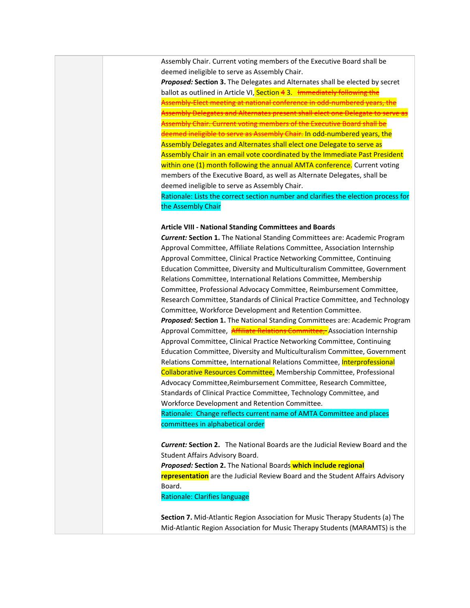Assembly Chair. Current voting members of the Executive Board shall be deemed ineligible to serve as Assembly Chair.

*Proposed:* **Section 3.** The Delegates and Alternates shall be elected by secret ballot as outlined in Article VI, Section 43. Immediately following the Assembly-Elect meeting at national conference in odd-numbered years, the Assembly Delegates and Alternates present shall eler hbly Chair. Current voting men deemed ineligible to serve as Assembly Chair. In odd-numbered years, the Assembly Delegates and Alternates shall elect one Delegate to serve as Assembly Chair in an email vote coordinated by the Immediate Past President within one (1) month following the annual AMTA conference. Current voting members of the Executive Board, as well as Alternate Delegates, shall be deemed ineligible to serve as Assembly Chair.

Rationale: Lists the correct section number and clarifies the election process for the Assembly Chair

## **Article VIII - National Standing Committees and Boards**

*Current:* **Section 1.** The National Standing Committees are: Academic Program Approval Committee, Affiliate Relations Committee, Association Internship Approval Committee, Clinical Practice Networking Committee, Continuing Education Committee, Diversity and Multiculturalism Committee, Government Relations Committee, International Relations Committee, Membership Committee, Professional Advocacy Committee, Reimbursement Committee, Research Committee, Standards of Clinical Practice Committee, and Technology Committee, Workforce Development and Retention Committee.

*Proposed:* **Section 1.** The National Standing Committees are: Academic Program Approval Committee, **Affiliate Relations Committee,** Association Internship Approval Committee, Clinical Practice Networking Committee, Continuing Education Committee, Diversity and Multiculturalism Committee, Government Relations Committee, International Relations Committee, Interprofessional Collaborative Resources Committee, Membership Committee, Professional Advocacy Committee,Reimbursement Committee, Research Committee, Standards of Clinical Practice Committee, Technology Committee, and Workforce Development and Retention Committee.

Rationale: Change reflects current name of AMTA Committee and places committees in alphabetical order

*Current:* **Section 2.** The National Boards are the Judicial Review Board and the Student Affairs Advisory Board.

*Proposed:* **Section 2.** The National Boards **which include regional representation** are the Judicial Review Board and the Student Affairs Advisory Board.

Rationale: Clarifies language

**Section 7.** Mid-Atlantic Region Association for Music Therapy Students (a) The Mid-Atlantic Region Association for Music Therapy Students (MARAMTS) is the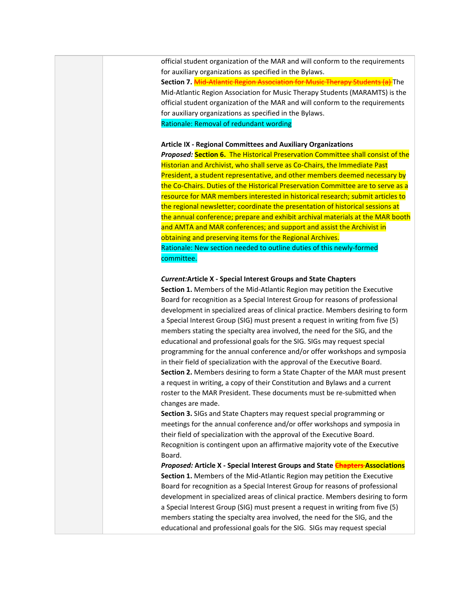official student organization of the MAR and will conform to the requirements for auxiliary organizations as specified in the Bylaws.

**Section 7.** Mid-Atlantic Region Association for Music Therapy Students (a) The Mid-Atlantic Region Association for Music Therapy Students (MARAMTS) is the official student organization of the MAR and will conform to the requirements for auxiliary organizations as specified in the Bylaws. Rationale: Removal of redundant wording

# **Article IX - Regional Committees and Auxiliary Organizations**

*Proposed:* **Section 6.** The Historical Preservation Committee shall consist of the Historian and Archivist, who shall serve as Co-Chairs, the Immediate Past President, a student representative, and other members deemed necessary by the Co-Chairs. Duties of the Historical Preservation Committee are to serve as a resource for MAR members interested in historical research; submit articles to the regional newsletter; coordinate the presentation of historical sessions at the annual conference; prepare and exhibit archival materials at the MAR booth and AMTA and MAR conferences; and support and assist the Archivist in obtaining and preserving items for the Regional Archives. Rationale: New section needed to outline duties of this newly-formed committee.

## *Current:***Article X - Special Interest Groups and State Chapters**

**Section 1.** Members of the Mid-Atlantic Region may petition the Executive Board for recognition as a Special Interest Group for reasons of professional development in specialized areas of clinical practice. Members desiring to form a Special Interest Group (SIG) must present a request in writing from five (5) members stating the specialty area involved, the need for the SIG, and the educational and professional goals for the SIG. SIGs may request special programming for the annual conference and/or offer workshops and symposia in their field of specialization with the approval of the Executive Board. **Section 2.** Members desiring to form a State Chapter of the MAR must present a request in writing, a copy of their Constitution and Bylaws and a current roster to the MAR President. These documents must be re-submitted when changes are made.

**Section 3.** SIGs and State Chapters may request special programming or meetings for the annual conference and/or offer workshops and symposia in their field of specialization with the approval of the Executive Board. Recognition is contingent upon an affirmative majority vote of the Executive Board.

*Proposed:* **Article X - Special Interest Groups and State Chapters Associations Section 1.** Members of the Mid-Atlantic Region may petition the Executive Board for recognition as a Special Interest Group for reasons of professional development in specialized areas of clinical practice. Members desiring to form a Special Interest Group (SIG) must present a request in writing from five (5) members stating the specialty area involved, the need for the SIG, and the educational and professional goals for the SIG. SIGs may request special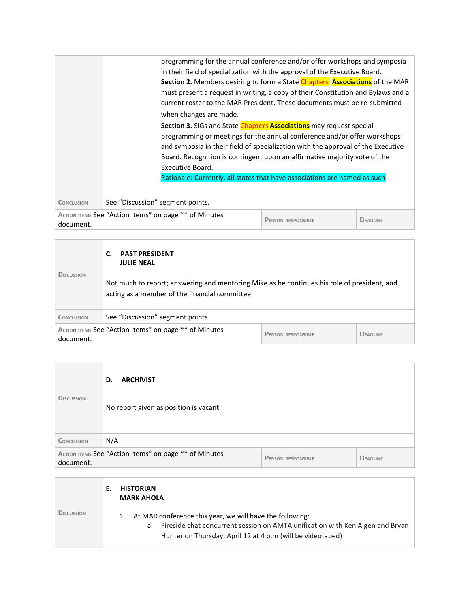|                                                                                                                    | programming for the annual conference and/or offer workshops and symposia<br>in their field of specialization with the approval of the Executive Board.<br>Section 2. Members desiring to form a State <b>Chapters</b> Associations of the MAR<br>must present a request in writing, a copy of their Constitution and Bylaws and a<br>current roster to the MAR President. These documents must be re-submitted<br>when changes are made.<br>Section 3. SIGs and State <b>Chapters Associations</b> may request special<br>programming or meetings for the annual conference and/or offer workshops<br>and symposia in their field of specialization with the approval of the Executive<br>Board. Recognition is contingent upon an affirmative majority vote of the<br>Executive Board.<br>Rationale: Currently, all states that have associations are named as such |
|--------------------------------------------------------------------------------------------------------------------|-----------------------------------------------------------------------------------------------------------------------------------------------------------------------------------------------------------------------------------------------------------------------------------------------------------------------------------------------------------------------------------------------------------------------------------------------------------------------------------------------------------------------------------------------------------------------------------------------------------------------------------------------------------------------------------------------------------------------------------------------------------------------------------------------------------------------------------------------------------------------|
| <b>CONCLUSION</b>                                                                                                  | See "Discussion" segment points.                                                                                                                                                                                                                                                                                                                                                                                                                                                                                                                                                                                                                                                                                                                                                                                                                                      |
| ACTION ITEMS See "Action Items" on page ** of Minutes<br><b>PERSON RESPONSIBLE</b><br><b>DEADLINE</b><br>document. |                                                                                                                                                                                                                                                                                                                                                                                                                                                                                                                                                                                                                                                                                                                                                                                                                                                                       |
|                                                                                                                    |                                                                                                                                                                                                                                                                                                                                                                                                                                                                                                                                                                                                                                                                                                                                                                                                                                                                       |

| <b>DISCUSSION</b>                                                                               | <b>PAST PRESIDENT</b><br><b>JULIE NEAL</b><br>Not much to report; answering and mentoring Mike as he continues his role of president, and<br>acting as a member of the financial committee. |  |                 |
|-------------------------------------------------------------------------------------------------|---------------------------------------------------------------------------------------------------------------------------------------------------------------------------------------------|--|-----------------|
| <b>CONCLUSION</b>                                                                               | See "Discussion" segment points.                                                                                                                                                            |  |                 |
| ACTION ITEMS See "Action Items" on page ** of Minutes<br><b>PERSON RESPONSIBLE</b><br>document. |                                                                                                                                                                                             |  | <b>DEADLINE</b> |

| <b>DISCUSSION</b>                                                  | <b>ARCHIVIST</b><br>D.<br>No report given as position is vacant. |                           |                 |
|--------------------------------------------------------------------|------------------------------------------------------------------|---------------------------|-----------------|
| <b>CONCLUSION</b>                                                  | N/A                                                              |                           |                 |
| ACTION ITEMS See "Action Items" on page ** of Minutes<br>document. |                                                                  | <b>PERSON RESPONSIBLE</b> | <b>DEADLINE</b> |

|                   | <b>HISTORIAN</b><br><b>MARK AHOLA</b>                                                                                                                                                                            |
|-------------------|------------------------------------------------------------------------------------------------------------------------------------------------------------------------------------------------------------------|
| <b>DISCUSSION</b> | 1. At MAR conference this year, we will have the following:<br>Fireside chat concurrent session on AMTA unification with Ken Aigen and Bryan<br>а.<br>Hunter on Thursday, April 12 at 4 p.m (will be videotaped) |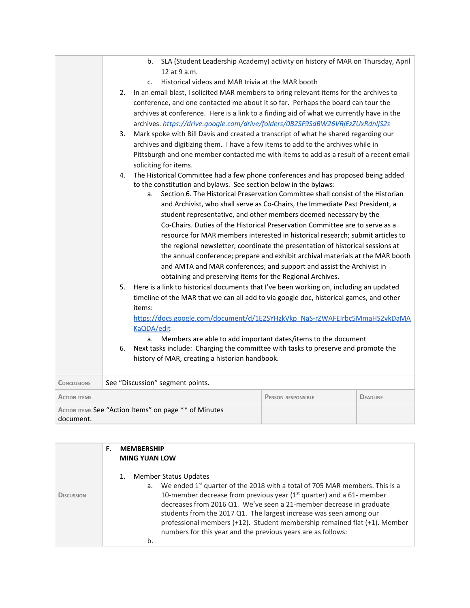|                     | SLA (Student Leadership Academy) activity on history of MAR on Thursday, April<br>b.<br>12 at 9 a.m.<br>Historical videos and MAR trivia at the MAR booth<br>C <sub>1</sub><br>In an email blast, I solicited MAR members to bring relevant items for the archives to<br>2.<br>conference, and one contacted me about it so far. Perhaps the board can tour the<br>archives at conference. Here is a link to a finding aid of what we currently have in the<br>archives. https://drive.google.com/drive/folders/0B2SF9SdBW26VRjEzZUxRdnljS2s<br>Mark spoke with Bill Davis and created a transcript of what he shared regarding our<br>3.<br>archives and digitizing them. I have a few items to add to the archives while in<br>Pittsburgh and one member contacted me with items to add as a result of a recent email<br>soliciting for items.                                                                                                                                                                                                                                                                                                                                                                                                                                                                                                                                                                      |
|---------------------|-----------------------------------------------------------------------------------------------------------------------------------------------------------------------------------------------------------------------------------------------------------------------------------------------------------------------------------------------------------------------------------------------------------------------------------------------------------------------------------------------------------------------------------------------------------------------------------------------------------------------------------------------------------------------------------------------------------------------------------------------------------------------------------------------------------------------------------------------------------------------------------------------------------------------------------------------------------------------------------------------------------------------------------------------------------------------------------------------------------------------------------------------------------------------------------------------------------------------------------------------------------------------------------------------------------------------------------------------------------------------------------------------------------------------|
|                     | The Historical Committee had a few phone conferences and has proposed being added<br>4.<br>to the constitution and bylaws. See section below in the bylaws:<br>Section 6. The Historical Preservation Committee shall consist of the Historian<br>a <sub>r</sub><br>and Archivist, who shall serve as Co-Chairs, the Immediate Past President, a<br>student representative, and other members deemed necessary by the<br>Co-Chairs. Duties of the Historical Preservation Committee are to serve as a<br>resource for MAR members interested in historical research; submit articles to<br>the regional newsletter; coordinate the presentation of historical sessions at<br>the annual conference; prepare and exhibit archival materials at the MAR booth<br>and AMTA and MAR conferences; and support and assist the Archivist in<br>obtaining and preserving items for the Regional Archives.<br>Here is a link to historical documents that I've been working on, including an updated<br>5.<br>timeline of the MAR that we can all add to via google doc, historical games, and other<br>items:<br>https://docs.google.com/document/d/1E2SYHzkVkp_NaS-rZWAFEIrbc5MmaHS2ykDaMA<br>KaQDA/edit<br>Members are able to add important dates/items to the document<br>a.<br>Next tasks include: Charging the committee with tasks to preserve and promote the<br>6.<br>history of MAR, creating a historian handbook. |
| <b>CONCLUSIONS</b>  | See "Discussion" segment points.                                                                                                                                                                                                                                                                                                                                                                                                                                                                                                                                                                                                                                                                                                                                                                                                                                                                                                                                                                                                                                                                                                                                                                                                                                                                                                                                                                                      |
| <b>ACTION ITEMS</b> | <b>PERSON RESPONSIBLE</b><br><b>DEADLINE</b>                                                                                                                                                                                                                                                                                                                                                                                                                                                                                                                                                                                                                                                                                                                                                                                                                                                                                                                                                                                                                                                                                                                                                                                                                                                                                                                                                                          |
| document.           | ACTION ITEMS See "Action Items" on page ** of Minutes                                                                                                                                                                                                                                                                                                                                                                                                                                                                                                                                                                                                                                                                                                                                                                                                                                                                                                                                                                                                                                                                                                                                                                                                                                                                                                                                                                 |

|            | F. | <b>MEMBERSHIP</b><br><b>MING YUAN LOW</b>                                                                                                                                                                                                                                                                                                                                                                                                                                                     |
|------------|----|-----------------------------------------------------------------------------------------------------------------------------------------------------------------------------------------------------------------------------------------------------------------------------------------------------------------------------------------------------------------------------------------------------------------------------------------------------------------------------------------------|
| DISCUSSION |    | Member Status Updates<br>1.<br>a. We ended $1^{st}$ quarter of the 2018 with a total of 705 MAR members. This is a<br>10-member decrease from previous year ( $1st$ quarter) and a 61- member<br>decreases from 2016 Q1. We've seen a 21-member decrease in graduate<br>students from the 2017 Q1. The largest increase was seen among our<br>professional members (+12). Student membership remained flat (+1). Member<br>numbers for this year and the previous years are as follows:<br>b. |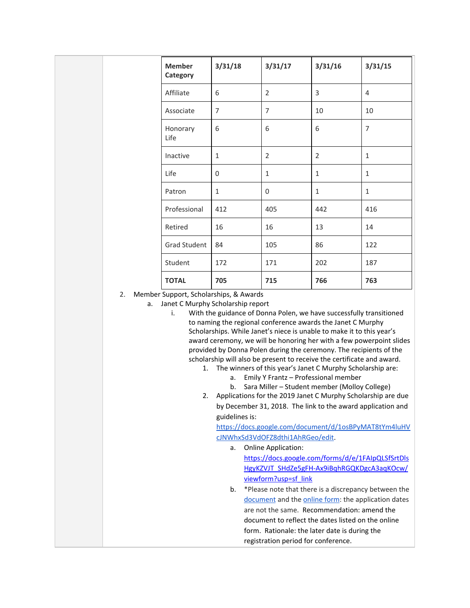| <b>Member</b><br>Category | 3/31/18      | 3/31/17        | 3/31/16        | 3/31/15        |
|---------------------------|--------------|----------------|----------------|----------------|
| Affiliate                 | 6            | $\overline{2}$ | 3              | $\overline{4}$ |
| Associate                 | 7            | $\overline{7}$ | 10             | 10             |
| Honorary<br>Life          | 6            | 6              | 6              | 7              |
| Inactive                  | $\mathbf{1}$ | $\overline{2}$ | $\overline{2}$ | $\mathbf{1}$   |
| Life                      | 0            | $\mathbf{1}$   | $\mathbf{1}$   | $\mathbf{1}$   |
| Patron                    | $\mathbf{1}$ | 0              | $\mathbf{1}$   | $\mathbf{1}$   |
| Professional              | 412          | 405            | 442            | 416            |
| Retired                   | 16           | 16             | 13             | 14             |
| <b>Grad Student</b>       | 84           | 105            | 86             | 122            |
| Student                   | 172          | 171            | 202            | 187            |
| <b>TOTAL</b>              | 705          | 715            | 766            | 763            |

2. Member Support, Scholarships, & Awards

a. Janet C Murphy Scholarship report

i. With the guidance of Donna Polen, we have successfully transitioned to naming the regional conference awards the Janet C Murphy Scholarships. While Janet's niece is unable to make it to this year's award ceremony, we will be honoring her with a few powerpoint slides provided by Donna Polen during the ceremony. The recipients of the scholarship will also be present to receive the certificate and award.

- 1. The winners of this year's Janet C Murphy Scholarship are:
	- a. Emily Y Frantz Professional member
		- b. Sara Miller Student member (Molloy College)
- 2. Applications for the 2019 Janet C Murphy Scholarship are due by December 31, 2018. The link to the award application and guidelines is[:](https://docs.google.com/document/d/1osBPyMAT8tYm4luHVcJNWhxSd3VdOFZ8dthi1AhRGeo/edit)

[https://docs.google.com/document/d/1osBPyMAT8tYm4luHV](https://docs.google.com/document/d/1osBPyMAT8tYm4luHVcJNWhxSd3VdOFZ8dthi1AhRGeo/edit) [cJNWhxSd3VdOFZ8dthi1AhRGeo/edit](https://docs.google.com/document/d/1osBPyMAT8tYm4luHVcJNWhxSd3VdOFZ8dthi1AhRGeo/edit).

a. Online Application:

[https://docs.google.com/forms/d/e/1FAIpQLSfSrtDls](https://docs.google.com/forms/d/e/1FAIpQLSfSrtDlsHgyKZVJT_SHdZe5gFH-Ax9iBqhRGQKDgcA3aqKOcw/viewform?usp=sf_link) [HgyKZVJT\\_SHdZe5gFH-Ax9iBqhRGQKDgcA3aqKOcw/](https://docs.google.com/forms/d/e/1FAIpQLSfSrtDlsHgyKZVJT_SHdZe5gFH-Ax9iBqhRGQKDgcA3aqKOcw/viewform?usp=sf_link) [viewform?usp=sf\\_link](https://docs.google.com/forms/d/e/1FAIpQLSfSrtDlsHgyKZVJT_SHdZe5gFH-Ax9iBqhRGQKDgcA3aqKOcw/viewform?usp=sf_link)

b. \*Please note that there is a discrepancy between th[e](https://docs.google.com/document/d/1osBPyMAT8tYm4luHVcJNWhxSd3VdOFZ8dthi1AhRGeo/edit) [document](https://docs.google.com/document/d/1osBPyMAT8tYm4luHVcJNWhxSd3VdOFZ8dthi1AhRGeo/edit) and the [online](https://docs.google.com/forms/d/1ke5EXjTzDhGFFD7iW_rZKtEbGhR27Ugr3Q9t3T-G_ZE/edit) form: the application dates are not the same. Recommendation: amend the document to reflect the dates listed on the online form. Rationale: the later date is during the registration period for conference.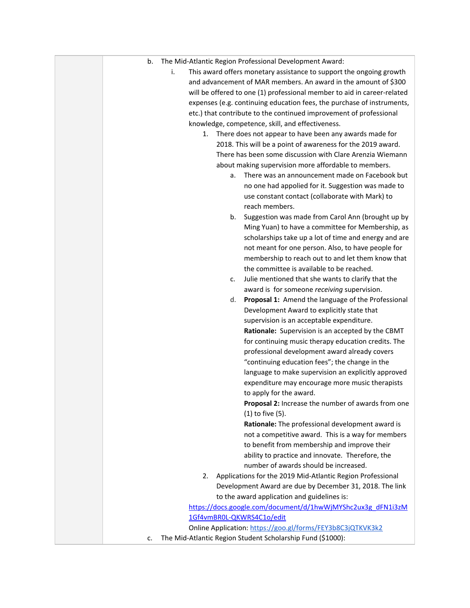| The Mid-Atlantic Region Professional Development Award:<br>b.             |
|---------------------------------------------------------------------------|
| i.<br>This award offers monetary assistance to support the ongoing growth |
| and advancement of MAR members. An award in the amount of \$300           |
| will be offered to one (1) professional member to aid in career-related   |
| expenses (e.g. continuing education fees, the purchase of instruments,    |
| etc.) that contribute to the continued improvement of professional        |
| knowledge, competence, skill, and effectiveness.                          |
| There does not appear to have been any awards made for<br>1.              |
| 2018. This will be a point of awareness for the 2019 award.               |
| There has been some discussion with Clare Arenzia Wiemann                 |
| about making supervision more affordable to members.                      |
| There was an announcement made on Facebook but<br>a.                      |
| no one had appolied for it. Suggestion was made to                        |
| use constant contact (collaborate with Mark) to                           |
| reach members.                                                            |
| Suggestion was made from Carol Ann (brought up by<br>b.                   |
| Ming Yuan) to have a committee for Membership, as                         |
| scholarships take up a lot of time and energy and are                     |
| not meant for one person. Also, to have people for                        |
| membership to reach out to and let them know that                         |
| the committee is available to be reached.                                 |
| Julie mentioned that she wants to clarify that the<br>c.                  |
| award is for someone receiving supervision.                               |
| Proposal 1: Amend the language of the Professional<br>d.                  |
| Development Award to explicitly state that                                |
| supervision is an acceptable expenditure.                                 |
| Rationale: Supervision is an accepted by the CBMT                         |
| for continuing music therapy education credits. The                       |
| professional development award already covers                             |
| "continuing education fees"; the change in the                            |
| language to make supervision an explicitly approved                       |
| expenditure may encourage more music therapists                           |
| to apply for the award.                                                   |
| Proposal 2: Increase the number of awards from one                        |
| (1) to five (5).                                                          |
| Rationale: The professional development award is                          |
| not a competitive award. This is a way for members                        |
| to benefit from membership and improve their                              |
| ability to practice and innovate. Therefore, the                          |
| number of awards should be increased.                                     |
| Applications for the 2019 Mid-Atlantic Region Professional<br>2.          |
| Development Award are due by December 31, 2018. The link                  |
| to the award application and guidelines is:                               |
| https://docs.google.com/document/d/1hwWjMYShc2ux3g_dFN1i3zM               |
| 1Gf4vmBR0L-QKWRS4C1o/edit                                                 |
| Online Application: https://goo.gl/forms/FEY3b8C3jQTKVK3k2                |
| The Mid-Atlantic Region Student Scholarship Fund (\$1000):<br>c.          |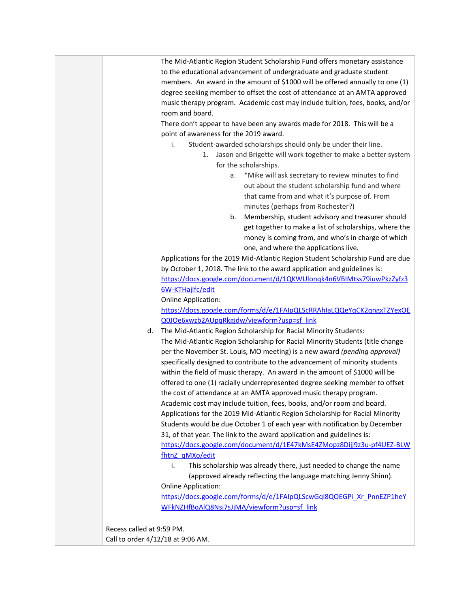The Mid-Atlantic Region Student Scholarship Fund offers monetary assistance to the educational advancement of undergraduate and graduate student members. An award in the amount of \$1000 will be offered annually to one (1) degree seeking member to offset the cost of attendance at an AMTA approved music therapy program. Academic cost may include tuition, fees, books, and/or room and board. There don't appear to have been any awards made for 2018. This will be a point of awareness for the 2019 award. i. Student-awarded scholarships should only be under their line. 1. Jason and Brigette will work together to make a better system for the scholarships. a. \*Mike will ask secretary to review minutes to find out about the student scholarship fund and where that came from and what it's purpose of. From minutes (perhaps from Rochester?) b. Membership, student advisory and treasurer should get together to make a list of scholarships, where the money is coming from, and who's in charge of which one, and where the applications live. Applications for the 2019 Mid-Atlantic Region Student Scholarship Fund are due by October 1, 2018. The link to the award application and guidelines is: [https://docs.google.com/document/d/1QKWUlonqk4n6VBIMtss79iuwPkzZyfz3](https://docs.google.com/document/d/1QKWUlonqk4n6VBIMtss79iuwPkzZyfz36W-KTHajlfc/edit) [6W-KTHajlfc/edit](https://docs.google.com/document/d/1QKWUlonqk4n6VBIMtss79iuwPkzZyfz36W-KTHajlfc/edit) Online Application: [https://docs.google.com/forms/d/e/1FAIpQLScRRAhIaLQQeYqCK2qngxTZYexOE](https://docs.google.com/forms/d/e/1FAIpQLScRRAhIaLQQeYqCK2qngxTZYexOEQ0JOe6xwzb2AUpqRkgjdw/viewform?usp=sf_link) [Q0JOe6xwzb2AUpqRkgjdw/viewform?usp=sf\\_link](https://docs.google.com/forms/d/e/1FAIpQLScRRAhIaLQQeYqCK2qngxTZYexOEQ0JOe6xwzb2AUpqRkgjdw/viewform?usp=sf_link) d. The Mid-Atlantic Region Scholarship for Racial Minority Students: The Mid-Atlantic Region Scholarship for Racial Minority Students (title change per the November St. Louis, MO meeting) is a new award *(pending approval)* specifically designed to contribute to the advancement of minority students within the field of music therapy. An award in the amount of \$1000 will be offered to one (1) racially underrepresented degree seeking member to offset the cost of attendance at an AMTA approved music therapy program. Academic cost may include tuition, fees, books, and/or room and board. Applications for the 2019 Mid-Atlantic Region Scholarship for Racial Minority Students would be due October 1 of each year with notification by December 31, of that year. The link to the award application and guidelines is: [https://docs.google.com/document/d/1E47kMsE4ZMopz8Dijj9z3u-pf4UEZ-BLW](https://docs.google.com/document/d/1E47kMsE4ZMopz8Dijj9z3u-pf4UEZ-BLWfhtnZ_qMXo/edit) [fhtnZ\\_qMXo/edit](https://docs.google.com/document/d/1E47kMsE4ZMopz8Dijj9z3u-pf4UEZ-BLWfhtnZ_qMXo/edit) i. This scholarship was already there, just needed to change the name (approved already reflecting the language matching Jenny Shinn). Online Application: [https://docs.google.com/forms/d/e/1FAIpQLScwGql8QOEGPi\\_Xr\\_PnnEZP1heY](https://docs.google.com/forms/d/e/1FAIpQLScwGql8QOEGPi_Xr_PnnEZP1heYWFkNZHfBqAlQ8Nsj7sJjMA/viewform?usp=sf_link) [WFkNZHfBqAlQ8Nsj7sJjMA/viewform?usp=sf\\_link](https://docs.google.com/forms/d/e/1FAIpQLScwGql8QOEGPi_Xr_PnnEZP1heYWFkNZHfBqAlQ8Nsj7sJjMA/viewform?usp=sf_link) Recess called at 9:59 PM. Call to order 4/12/18 at 9:06 AM.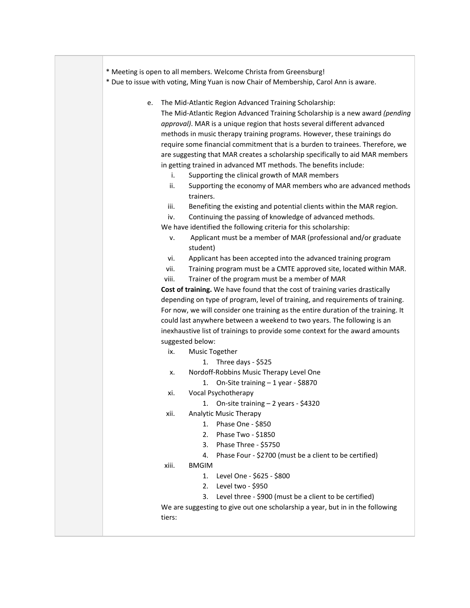|  | * Meeting is open to all members. Welcome Christa from Greensburg! |
|--|--------------------------------------------------------------------|
|--|--------------------------------------------------------------------|

\* Due to issue with voting, Ming Yuan is now Chair of Membership, Carol Ann is aware.

- e. The Mid-Atlantic Region Advanced Training Scholarship: The Mid-Atlantic Region Advanced Training Scholarship is a new award *(pending approval)*. MAR is a unique region that hosts several different advanced methods in music therapy training programs. However, these trainings do require some financial commitment that is a burden to trainees. Therefore, we are suggesting that MAR creates a scholarship specifically to aid MAR members in getting trained in advanced MT methods. The benefits include:
	- i. Supporting the clinical growth of MAR members
	- ii. Supporting the economy of MAR members who are advanced methods trainers.
	- iii. Benefiting the existing and potential clients within the MAR region.
	- iv. Continuing the passing of knowledge of advanced methods.

We have identified the following criteria for this scholarship:

- v. Applicant must be a member of MAR (professional and/or graduate student)
- vi. Applicant has been accepted into the advanced training program
- vii. Training program must be a CMTE approved site, located within MAR.
- viii. Trainer of the program must be a member of MAR

**Cost of training.** We have found that the cost of training varies drastically depending on type of program, level of training, and requirements of training. For now, we will consider one training as the entire duration of the training. It could last anywhere between a weekend to two years. The following is an inexhaustive list of trainings to provide some context for the award amounts suggested below:

- ix. Music Together
	- 1. Three days \$525
- x. Nordoff-Robbins Music Therapy Level One
	- 1. On-Site training 1 year \$8870
- xi. Vocal Psychotherapy
	- 1. On-site training 2 years \$4320
- xii. Analytic Music Therapy
	- 1. Phase One \$850
	- 2. Phase Two \$1850
	- 3. Phase Three \$5750
	- 4. Phase Four \$2700 (must be a client to be certified)
- xiii. BMGIM
	- 1. Level One \$625 \$800
	- 2. Level two \$950
	- 3. Level three \$900 (must be a client to be certified)

We are suggesting to give out one scholarship a year, but in in the following tiers: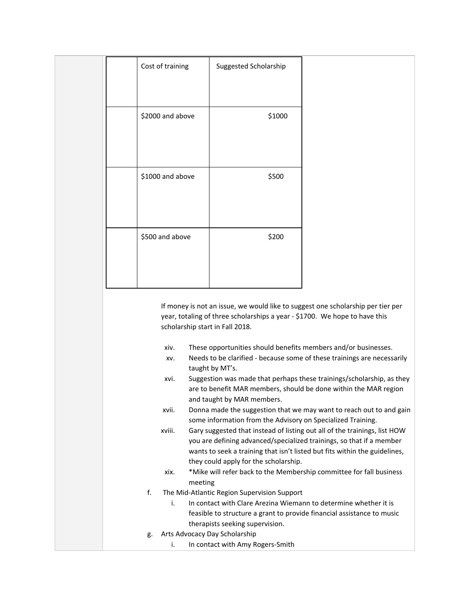|  | Cost of training                    | Suggested Scholarship                                                      |                                                                                                                                                                                                                                 |
|--|-------------------------------------|----------------------------------------------------------------------------|---------------------------------------------------------------------------------------------------------------------------------------------------------------------------------------------------------------------------------|
|  |                                     |                                                                            |                                                                                                                                                                                                                                 |
|  | \$2000 and above                    | \$1000                                                                     |                                                                                                                                                                                                                                 |
|  |                                     |                                                                            |                                                                                                                                                                                                                                 |
|  | \$1000 and above                    | \$500                                                                      |                                                                                                                                                                                                                                 |
|  |                                     |                                                                            |                                                                                                                                                                                                                                 |
|  | \$500 and above                     | \$200                                                                      |                                                                                                                                                                                                                                 |
|  |                                     |                                                                            |                                                                                                                                                                                                                                 |
|  |                                     |                                                                            |                                                                                                                                                                                                                                 |
|  | scholarship start in Fall 2018.     | year, totaling of three scholarships a year - \$1700. We hope to have this | If money is not an issue, we would like to suggest one scholarship per tier per                                                                                                                                                 |
|  | xiv.<br>XV.                         | These opportunities should benefits members and/or businesses.             | Needs to be clarified - because some of these trainings are necessarily                                                                                                                                                         |
|  | xvi.                                | taught by MT's.                                                            | Suggestion was made that perhaps these trainings/scholarship, as they<br>are to benefit MAR members, should be done within the MAR region                                                                                       |
|  | xvii.                               | and taught by MAR members.                                                 | Donna made the suggestion that we may want to reach out to and gain                                                                                                                                                             |
|  | xviii.                              | some information from the Advisory on Specialized Training.                | Gary suggested that instead of listing out all of the trainings, list HOW<br>you are defining advanced/specialized trainings, so that if a member<br>wants to seek a training that isn't listed but fits within the guidelines, |
|  | xix.                                | they could apply for the scholarship.                                      | *Mike will refer back to the Membership committee for fall business                                                                                                                                                             |
|  | meeting                             |                                                                            |                                                                                                                                                                                                                                 |
|  | f.<br>i.                            | The Mid-Atlantic Region Supervision Support                                | In contact with Clare Arezina Wiemann to determine whether it is                                                                                                                                                                |
|  |                                     |                                                                            | feasible to structure a grant to provide financial assistance to music                                                                                                                                                          |
|  |                                     | therapists seeking supervision.                                            |                                                                                                                                                                                                                                 |
|  | Arts Advocacy Day Scholarship<br>g. |                                                                            |                                                                                                                                                                                                                                 |
|  | i.                                  | In contact with Amy Rogers-Smith                                           |                                                                                                                                                                                                                                 |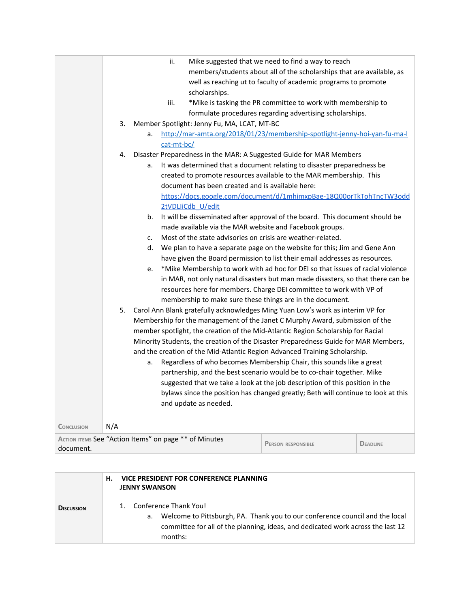|                                                       |     |    | ii.        |                                                  | Mike suggested that we need to find a way to reach                                  |                 |
|-------------------------------------------------------|-----|----|------------|--------------------------------------------------|-------------------------------------------------------------------------------------|-----------------|
|                                                       |     |    |            |                                                  | members/students about all of the scholarships that are available, as               |                 |
|                                                       |     |    |            |                                                  | well as reaching ut to faculty of academic programs to promote                      |                 |
|                                                       |     |    |            | scholarships.                                    |                                                                                     |                 |
|                                                       |     |    | iii.       |                                                  | *Mike is tasking the PR committee to work with membership to                        |                 |
|                                                       |     |    |            |                                                  | formulate procedures regarding advertising scholarships.                            |                 |
|                                                       | 3.  |    |            | Member Spotlight: Jenny Fu, MA, LCAT, MT-BC      |                                                                                     |                 |
|                                                       |     | a. |            |                                                  | http://mar-amta.org/2018/01/23/membership-spotlight-jenny-hoi-yan-fu-ma-l           |                 |
|                                                       |     |    | cat-mt-bc/ |                                                  |                                                                                     |                 |
|                                                       | 4.  |    |            |                                                  | Disaster Preparedness in the MAR: A Suggested Guide for MAR Members                 |                 |
|                                                       |     | a. |            |                                                  | It was determined that a document relating to disaster preparedness be              |                 |
|                                                       |     |    |            |                                                  | created to promote resources available to the MAR membership. This                  |                 |
|                                                       |     |    |            | document has been created and is available here: |                                                                                     |                 |
|                                                       |     |    |            |                                                  | https://docs.google.com/document/d/1mhimxpBae-18Q00orTkTohTncTW3odd                 |                 |
|                                                       |     |    |            | 2tVDLIiCdb_U/edit                                |                                                                                     |                 |
|                                                       |     | b. |            |                                                  | It will be disseminated after approval of the board. This document should be        |                 |
|                                                       |     |    |            |                                                  | made available via the MAR website and Facebook groups.                             |                 |
|                                                       |     | c. |            |                                                  | Most of the state advisories on crisis are weather-related.                         |                 |
|                                                       |     | d. |            |                                                  | We plan to have a separate page on the website for this; Jim and Gene Ann           |                 |
|                                                       |     |    |            |                                                  | have given the Board permission to list their email addresses as resources.         |                 |
|                                                       |     | e. |            |                                                  | *Mike Membership to work with ad hoc for DEI so that issues of racial violence      |                 |
|                                                       |     |    |            |                                                  | in MAR, not only natural disasters but man made disasters, so that there can be     |                 |
|                                                       |     |    |            |                                                  | resources here for members. Charge DEI committee to work with VP of                 |                 |
|                                                       |     |    |            |                                                  | membership to make sure these things are in the document.                           |                 |
|                                                       | 5.  |    |            |                                                  | Carol Ann Blank gratefully acknowledges Ming Yuan Low's work as interim VP for      |                 |
|                                                       |     |    |            |                                                  | Membership for the management of the Janet C Murphy Award, submission of the        |                 |
|                                                       |     |    |            |                                                  | member spotlight, the creation of the Mid-Atlantic Region Scholarship for Racial    |                 |
|                                                       |     |    |            |                                                  | Minority Students, the creation of the Disaster Preparedness Guide for MAR Members, |                 |
|                                                       |     |    |            |                                                  | and the creation of the Mid-Atlantic Region Advanced Training Scholarship.          |                 |
|                                                       |     | a. |            |                                                  | Regardless of who becomes Membership Chair, this sounds like a great                |                 |
|                                                       |     |    |            |                                                  | partnership, and the best scenario would be to co-chair together. Mike              |                 |
|                                                       |     |    |            |                                                  | suggested that we take a look at the job description of this position in the        |                 |
|                                                       |     |    |            |                                                  | bylaws since the position has changed greatly; Beth will continue to look at this   |                 |
|                                                       |     |    |            | and update as needed.                            |                                                                                     |                 |
|                                                       |     |    |            |                                                  |                                                                                     |                 |
| <b>CONCLUSION</b>                                     | N/A |    |            |                                                  |                                                                                     |                 |
| ACTION ITEMS See "Action Items" on page ** of Minutes |     |    |            |                                                  |                                                                                     |                 |
| document.                                             |     |    |            |                                                  | <b>PERSON RESPONSIBLE</b>                                                           | <b>DEADLINE</b> |

|                   | VICE PRESIDENT FOR CONFERENCE PLANNING<br>н.<br><b>JENNY SWANSON</b>                                                                                                                                      |
|-------------------|-----------------------------------------------------------------------------------------------------------------------------------------------------------------------------------------------------------|
| <b>DISCUSSION</b> | Conference Thank You!<br>Welcome to Pittsburgh, PA. Thank you to our conference council and the local<br>а.<br>committee for all of the planning, ideas, and dedicated work across the last 12<br>months: |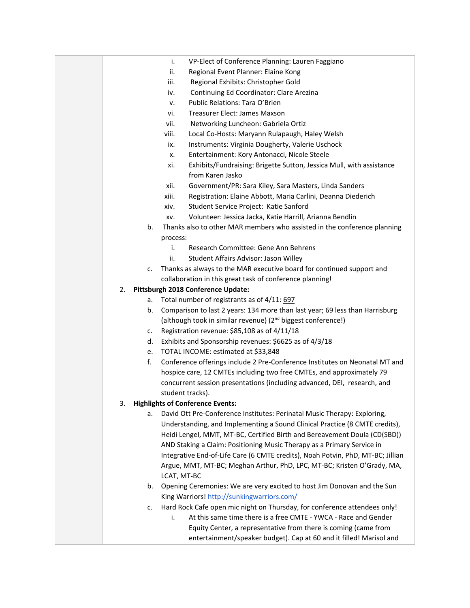- i. VP-Elect of Conference Planning: Lauren Faggiano
- ii. Regional Event Planner: Elaine Kong
- iii. Regional Exhibits: Christopher Gold
- iv. Continuing Ed Coordinator: Clare Arezina
- v. Public Relations: Tara O'Brien
- vi. Treasurer Elect: James Maxson
- vii. Networking Luncheon: Gabriela Ortiz
- viii. Local Co-Hosts: Maryann Rulapaugh, Haley Welsh
- ix. Instruments: Virginia Dougherty, Valerie Uschock
- x. Entertainment: Kory Antonacci, Nicole Steele
- xi. Exhibits/Fundraising: Brigette Sutton, Jessica Mull, with assistance from Karen Jasko
- xii. Government/PR: Sara Kiley, Sara Masters, Linda Sanders
- xiii. Registration: Elaine Abbott, Maria Carlini, Deanna Diederich
- xiv. Student Service Project: Katie Sanford
- xv. Volunteer: Jessica Jacka, Katie Harrill, Arianna Bendlin
- b. Thanks also to other MAR members who assisted in the conference planning process:
	- i. Research Committee: Gene Ann Behrens
	- ii. Student Affairs Advisor: Jason Willey
- c. Thanks as always to the MAR executive board for continued support and collaboration in this great task of conference planning!

## 2. **Pittsburgh 2018 Conference Update:**

- a. Total number of registrants as of 4/11: 697
- b. Comparison to last 2 years: 134 more than last year; 69 less than Harrisburg (although took in similar revenue) (2<sup>nd</sup> biggest conference!)
- c. Registration revenue: \$85,108 as of 4/11/18
- d. Exhibits and Sponsorship revenues: \$6625 as of 4/3/18
- e. TOTAL INCOME: estimated at \$33,848
- f. Conference offerings include 2 Pre-Conference Institutes on Neonatal MT and hospice care, 12 CMTEs including two free CMTEs, and approximately 79 concurrent session presentations (including advanced, DEI, research, and student tracks).

## 3. **Highlights of Conference Events:**

- a. David Ott Pre-Conference Institutes: Perinatal Music Therapy: Exploring, Understanding, and Implementing a Sound Clinical Practice (8 CMTE credits), Heidi Lengel, MMT, MT-BC, Certified Birth and Bereavement Doula (CD(SBD)) AND Staking a Claim: Positioning Music Therapy as a Primary Service in Integrative End-of-Life Care (6 CMTE credits), Noah Potvin, PhD, MT-BC; Jillian Argue, MMT, MT-BC; Meghan Arthur, PhD, LPC, MT-BC; Kristen O'Grady, MA, LCAT, MT-BC
- b. Opening Ceremonies: We are very excited to host Jim Donovan and the Sun King Warriors[!](http://sunkingwarriors.com/) <http://sunkingwarriors.com/>
- c. Hard Rock Cafe open mic night on Thursday, for conference attendees only!
	- i. At this same time there is a free CMTE YWCA Race and Gender Equity Center, a representative from there is coming (came from entertainment/speaker budget). Cap at 60 and it filled! Marisol and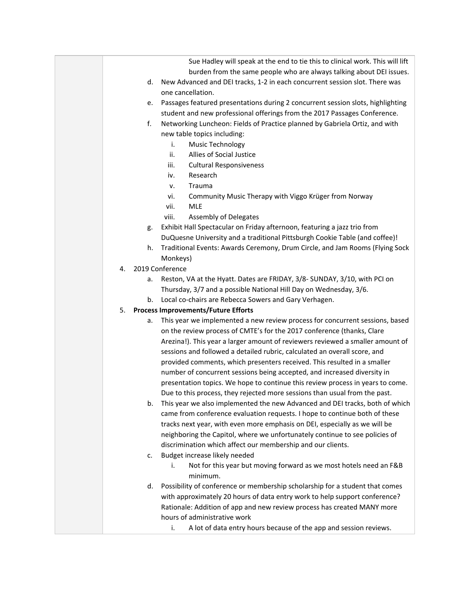|                                                                                       |    | Sue Hadley will speak at the end to tie this to clinical work. This will lift  |
|---------------------------------------------------------------------------------------|----|--------------------------------------------------------------------------------|
|                                                                                       |    | burden from the same people who are always talking about DEI issues.           |
|                                                                                       | d. | New Advanced and DEI tracks, 1-2 in each concurrent session slot. There was    |
| one cancellation.                                                                     |    |                                                                                |
| Passages featured presentations during 2 concurrent session slots, highlighting<br>e. |    |                                                                                |
| student and new professional offerings from the 2017 Passages Conference.             |    |                                                                                |
|                                                                                       | f. | Networking Luncheon: Fields of Practice planned by Gabriela Ortiz, and with    |
|                                                                                       |    | new table topics including:                                                    |
|                                                                                       |    | <b>Music Technology</b><br>i.                                                  |
|                                                                                       |    | Allies of Social Justice<br>ii.                                                |
|                                                                                       |    | <b>Cultural Responsiveness</b><br>iii.                                         |
|                                                                                       |    | Research<br>iv.                                                                |
|                                                                                       |    | Trauma<br>v.                                                                   |
|                                                                                       |    | vi.<br>Community Music Therapy with Viggo Krüger from Norway                   |
|                                                                                       |    | <b>MLE</b><br>vii.                                                             |
|                                                                                       |    | <b>Assembly of Delegates</b><br>viii.                                          |
|                                                                                       | g. | Exhibit Hall Spectacular on Friday afternoon, featuring a jazz trio from       |
|                                                                                       |    | DuQuesne University and a traditional Pittsburgh Cookie Table (and coffee)!    |
|                                                                                       | h. | Traditional Events: Awards Ceremony, Drum Circle, and Jam Rooms (Flying Sock   |
|                                                                                       |    | Monkeys)                                                                       |
| 4.                                                                                    |    | 2019 Conference                                                                |
|                                                                                       | a. | Reston, VA at the Hyatt. Dates are FRIDAY, 3/8- SUNDAY, 3/10, with PCI on      |
|                                                                                       |    | Thursday, 3/7 and a possible National Hill Day on Wednesday, 3/6.              |
|                                                                                       | b. | Local co-chairs are Rebecca Sowers and Gary Verhagen.                          |
| 5.                                                                                    |    | <b>Process Improvements/Future Efforts</b>                                     |
|                                                                                       | а. | This year we implemented a new review process for concurrent sessions, based   |
|                                                                                       |    | on the review process of CMTE's for the 2017 conference (thanks, Clare         |
|                                                                                       |    | Arezina!). This year a larger amount of reviewers reviewed a smaller amount of |
|                                                                                       |    | sessions and followed a detailed rubric, calculated an overall score, and      |
|                                                                                       |    | provided comments, which presenters received. This resulted in a smaller       |
|                                                                                       |    | number of concurrent sessions being accepted, and increased diversity in       |
|                                                                                       |    | presentation topics. We hope to continue this review process in years to come. |
|                                                                                       |    | Due to this process, they rejected more sessions than usual from the past.     |
|                                                                                       | b. | This year we also implemented the new Advanced and DEI tracks, both of which   |
|                                                                                       |    | came from conference evaluation requests. I hope to continue both of these     |
|                                                                                       |    | tracks next year, with even more emphasis on DEI, especially as we will be     |
|                                                                                       |    | neighboring the Capitol, where we unfortunately continue to see policies of    |
|                                                                                       |    | discrimination which affect our membership and our clients.                    |
|                                                                                       | c. | Budget increase likely needed                                                  |
|                                                                                       |    | Not for this year but moving forward as we most hotels need an F&B<br>i.       |
|                                                                                       |    | minimum.                                                                       |
|                                                                                       | d. | Possibility of conference or membership scholarship for a student that comes   |
|                                                                                       |    | with approximately 20 hours of data entry work to help support conference?     |
|                                                                                       |    | Rationale: Addition of app and new review process has created MANY more        |
|                                                                                       |    | hours of administrative work                                                   |
|                                                                                       |    | A lot of data entry hours because of the app and session reviews.<br>i.        |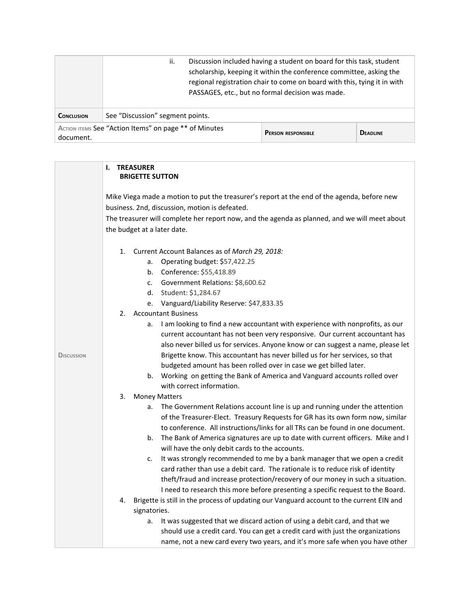|                   | Discussion included having a student on board for this task, student<br>ii.<br>scholarship, keeping it within the conference committee, asking the<br>regional registration chair to come on board with this, tying it in with<br>PASSAGES, etc., but no formal decision was made. |  |  |  |
|-------------------|------------------------------------------------------------------------------------------------------------------------------------------------------------------------------------------------------------------------------------------------------------------------------------|--|--|--|
| <b>CONCLUSION</b> | See "Discussion" segment points.                                                                                                                                                                                                                                                   |  |  |  |
| document.         | ACTION ITEMS See "Action Items" on page ** of Minutes<br><b>DEADLINE</b><br><b>PERSON RESPONSIBLE</b>                                                                                                                                                                              |  |  |  |

|                   | <b>TREASURER</b><br>I.<br><b>BRIGETTE SUTTON</b>                                               |  |  |  |  |
|-------------------|------------------------------------------------------------------------------------------------|--|--|--|--|
|                   | Mike Viega made a motion to put the treasurer's report at the end of the agenda, before new    |  |  |  |  |
|                   | business. 2nd, discussion, motion is defeated.                                                 |  |  |  |  |
|                   | The treasurer will complete her report now, and the agenda as planned, and we will meet about  |  |  |  |  |
|                   | the budget at a later date.                                                                    |  |  |  |  |
|                   | Current Account Balances as of March 29, 2018:<br>1.                                           |  |  |  |  |
|                   | Operating budget: \$57,422.25<br>a.                                                            |  |  |  |  |
|                   | Conference: \$55,418.89<br>b.                                                                  |  |  |  |  |
|                   | Government Relations: \$8,600.62<br>c.                                                         |  |  |  |  |
|                   | Student: \$1,284.67<br>d.                                                                      |  |  |  |  |
|                   | Vanguard/Liability Reserve: \$47,833.35<br>e.                                                  |  |  |  |  |
|                   | <b>Accountant Business</b><br>2.                                                               |  |  |  |  |
|                   | I am looking to find a new accountant with experience with nonprofits, as our<br>a.            |  |  |  |  |
|                   | current accountant has not been very responsive. Our current accountant has                    |  |  |  |  |
|                   | also never billed us for services. Anyone know or can suggest a name, please let               |  |  |  |  |
| <b>DISCUSSION</b> | Brigette know. This accountant has never billed us for her services, so that                   |  |  |  |  |
|                   | budgeted amount has been rolled over in case we get billed later.                              |  |  |  |  |
|                   | Working on getting the Bank of America and Vanguard accounts rolled over<br>b.                 |  |  |  |  |
|                   | with correct information.                                                                      |  |  |  |  |
|                   | 3.<br><b>Money Matters</b>                                                                     |  |  |  |  |
|                   | The Government Relations account line is up and running under the attention<br>a.              |  |  |  |  |
|                   | of the Treasurer-Elect. Treasury Requests for GR has its own form now, similar                 |  |  |  |  |
|                   | to conference. All instructions/links for all TRs can be found in one document.                |  |  |  |  |
|                   | The Bank of America signatures are up to date with current officers. Mike and I<br>b.          |  |  |  |  |
|                   | will have the only debit cards to the accounts.                                                |  |  |  |  |
|                   | It was strongly recommended to me by a bank manager that we open a credit<br>c.                |  |  |  |  |
|                   | card rather than use a debit card. The rationale is to reduce risk of identity                 |  |  |  |  |
|                   | theft/fraud and increase protection/recovery of our money in such a situation.                 |  |  |  |  |
|                   | I need to research this more before presenting a specific request to the Board.                |  |  |  |  |
|                   | Brigette is still in the process of updating our Vanguard account to the current EIN and<br>4. |  |  |  |  |
|                   | signatories.                                                                                   |  |  |  |  |
|                   | It was suggested that we discard action of using a debit card, and that we<br>a.               |  |  |  |  |
|                   | should use a credit card. You can get a credit card with just the organizations                |  |  |  |  |
|                   | name, not a new card every two years, and it's more safe when you have other                   |  |  |  |  |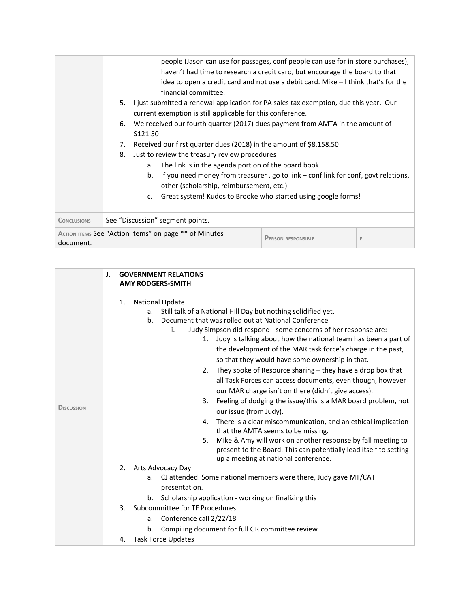|                    | people (Jason can use for passages, conf people can use for in store purchases),<br>haven't had time to research a credit card, but encourage the board to that<br>idea to open a credit card and not use a debit card. Mike $-1$ think that's for the<br>financial committee.<br>5.<br>I just submitted a renewal application for PA sales tax exemption, due this year. Our<br>current exemption is still applicable for this conference.<br>We received our fourth quarter (2017) dues payment from AMTA in the amount of<br>6.<br>\$121.50<br>Received our first quarter dues (2018) in the amount of \$8,158.50<br>7.<br>8.<br>Just to review the treasury review procedures<br>The link is in the agenda portion of the board book<br>a.<br>If you need money from treasurer, go to link - conf link for conf, govt relations,<br>b. |
|--------------------|--------------------------------------------------------------------------------------------------------------------------------------------------------------------------------------------------------------------------------------------------------------------------------------------------------------------------------------------------------------------------------------------------------------------------------------------------------------------------------------------------------------------------------------------------------------------------------------------------------------------------------------------------------------------------------------------------------------------------------------------------------------------------------------------------------------------------------------------|
|                    | other (scholarship, reimbursement, etc.)<br>Great system! Kudos to Brooke who started using google forms!<br>$C_{\star}$                                                                                                                                                                                                                                                                                                                                                                                                                                                                                                                                                                                                                                                                                                                   |
| <b>CONCLUSIONS</b> | See "Discussion" segment points.                                                                                                                                                                                                                                                                                                                                                                                                                                                                                                                                                                                                                                                                                                                                                                                                           |
|                    | ACTION ITEMS See "Action Items" on page ** of Minutes                                                                                                                                                                                                                                                                                                                                                                                                                                                                                                                                                                                                                                                                                                                                                                                      |
| document.          | <b>PERSON RESPONSIBLE</b><br>F                                                                                                                                                                                                                                                                                                                                                                                                                                                                                                                                                                                                                                                                                                                                                                                                             |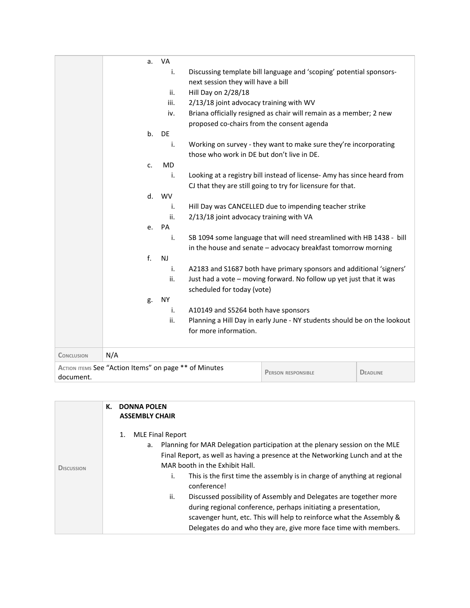|                   | a.                                                                                                    | VA        |                                            |                                                                          |  |
|-------------------|-------------------------------------------------------------------------------------------------------|-----------|--------------------------------------------|--------------------------------------------------------------------------|--|
|                   |                                                                                                       | i.        |                                            | Discussing template bill language and 'scoping' potential sponsors-      |  |
|                   |                                                                                                       |           | next session they will have a bill         |                                                                          |  |
|                   |                                                                                                       | ii.       | Hill Day on 2/28/18                        |                                                                          |  |
|                   |                                                                                                       | iii.      | 2/13/18 joint advocacy training with WV    |                                                                          |  |
|                   |                                                                                                       | iv.       |                                            | Briana officially resigned as chair will remain as a member; 2 new       |  |
|                   |                                                                                                       |           | proposed co-chairs from the consent agenda |                                                                          |  |
|                   | b.                                                                                                    | DE        |                                            |                                                                          |  |
|                   |                                                                                                       | i.        |                                            | Working on survey - they want to make sure they're incorporating         |  |
|                   |                                                                                                       |           | those who work in DE but don't live in DE. |                                                                          |  |
|                   | c.                                                                                                    | <b>MD</b> |                                            |                                                                          |  |
|                   |                                                                                                       | i.        |                                            | Looking at a registry bill instead of license- Amy has since heard from  |  |
|                   |                                                                                                       |           |                                            | CJ that they are still going to try for licensure for that.              |  |
|                   | d.                                                                                                    | <b>WV</b> |                                            |                                                                          |  |
|                   |                                                                                                       | i.        |                                            | Hill Day was CANCELLED due to impending teacher strike                   |  |
|                   |                                                                                                       | ii.       | 2/13/18 joint advocacy training with VA    |                                                                          |  |
|                   | e.                                                                                                    | PA        |                                            |                                                                          |  |
|                   |                                                                                                       | i.        |                                            | SB 1094 some language that will need streamlined with HB 1438 - bill     |  |
|                   |                                                                                                       |           |                                            | in the house and senate - advocacy breakfast tomorrow morning            |  |
|                   | f.                                                                                                    | NJ        |                                            |                                                                          |  |
|                   |                                                                                                       | i.        |                                            | A2183 and S1687 both have primary sponsors and additional 'signers'      |  |
|                   |                                                                                                       | ii.       |                                            | Just had a vote - moving forward. No follow up yet just that it was      |  |
|                   |                                                                                                       |           | scheduled for today (vote)                 |                                                                          |  |
|                   | g.                                                                                                    | <b>NY</b> |                                            |                                                                          |  |
|                   |                                                                                                       | i.        | A10149 and S5264 both have sponsors        |                                                                          |  |
|                   |                                                                                                       | ii.       |                                            | Planning a Hill Day in early June - NY students should be on the lookout |  |
|                   |                                                                                                       |           | for more information.                      |                                                                          |  |
| <b>CONCLUSION</b> | N/A                                                                                                   |           |                                            |                                                                          |  |
| document.         | ACTION ITEMS See "Action Items" on page ** of Minutes<br><b>PERSON RESPONSIBLE</b><br><b>DEADLINE</b> |           |                                            |                                                                          |  |

|            | К. | <b>DONNA POLEN</b><br><b>ASSEMBLY CHAIR</b>                                                                                                                                                                                                                                                                                                                                                                                                                                                                                                                                                                                      |
|------------|----|----------------------------------------------------------------------------------------------------------------------------------------------------------------------------------------------------------------------------------------------------------------------------------------------------------------------------------------------------------------------------------------------------------------------------------------------------------------------------------------------------------------------------------------------------------------------------------------------------------------------------------|
| DISCUSSION |    | <b>MLE Final Report</b><br>1.<br>Planning for MAR Delegation participation at the plenary session on the MLE<br>а.<br>Final Report, as well as having a presence at the Networking Lunch and at the<br>MAR booth in the Exhibit Hall.<br>i.<br>This is the first time the assembly is in charge of anything at regional<br>conference!<br>ii.<br>Discussed possibility of Assembly and Delegates are together more<br>during regional conference, perhaps initiating a presentation,<br>scavenger hunt, etc. This will help to reinforce what the Assembly &<br>Delegates do and who they are, give more face time with members. |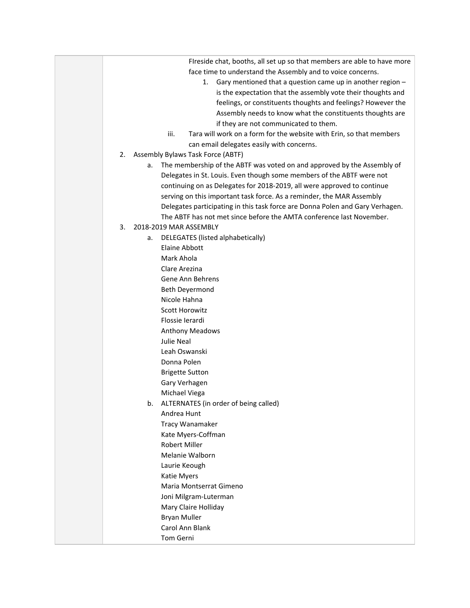| iii.                                                                                                                                                                                                                                                                                     | Fireside chat, booths, all set up so that members are able to have more<br>face time to understand the Assembly and to voice concerns.<br>Gary mentioned that a question came up in another region -<br>1.<br>is the expectation that the assembly vote their thoughts and<br>feelings, or constituents thoughts and feelings? However the<br>Assembly needs to know what the constituents thoughts are<br>if they are not communicated to them.<br>Tara will work on a form for the website with Erin, so that members<br>can email delegates easily with concerns. |
|------------------------------------------------------------------------------------------------------------------------------------------------------------------------------------------------------------------------------------------------------------------------------------------|----------------------------------------------------------------------------------------------------------------------------------------------------------------------------------------------------------------------------------------------------------------------------------------------------------------------------------------------------------------------------------------------------------------------------------------------------------------------------------------------------------------------------------------------------------------------|
| 2.                                                                                                                                                                                                                                                                                       | Assembly Bylaws Task Force (ABTF)                                                                                                                                                                                                                                                                                                                                                                                                                                                                                                                                    |
| а.                                                                                                                                                                                                                                                                                       | The membership of the ABTF was voted on and approved by the Assembly of<br>Delegates in St. Louis. Even though some members of the ABTF were not<br>continuing on as Delegates for 2018-2019, all were approved to continue<br>serving on this important task force. As a reminder, the MAR Assembly<br>Delegates participating in this task force are Donna Polen and Gary Verhagen.<br>The ABTF has not met since before the AMTA conference last November.                                                                                                        |
|                                                                                                                                                                                                                                                                                          |                                                                                                                                                                                                                                                                                                                                                                                                                                                                                                                                                                      |
| 2018-2019 MAR ASSEMBLY<br>3.<br>а.<br><b>Elaine Abbott</b><br>Mark Ahola<br>Clare Arezina<br>Beth Deyermond<br>Nicole Hahna<br><b>Scott Horowitz</b><br>Flossie Ierardi<br><b>Julie Neal</b><br>Leah Oswanski<br>Donna Polen<br><b>Brigette Sutton</b><br>Gary Verhagen<br>Michael Viega | DELEGATES (listed alphabetically)<br>Gene Ann Behrens<br><b>Anthony Meadows</b>                                                                                                                                                                                                                                                                                                                                                                                                                                                                                      |
| b.<br>Andrea Hunt<br><b>Robert Miller</b><br>Laurie Keough<br>Katie Myers<br><b>Bryan Muller</b><br>Carol Ann Blank<br>Tom Gerni                                                                                                                                                         | ALTERNATES (in order of being called)<br>Tracy Wanamaker<br>Kate Myers-Coffman<br>Melanie Walborn<br>Maria Montserrat Gimeno<br>Joni Milgram-Luterman<br>Mary Claire Holliday                                                                                                                                                                                                                                                                                                                                                                                        |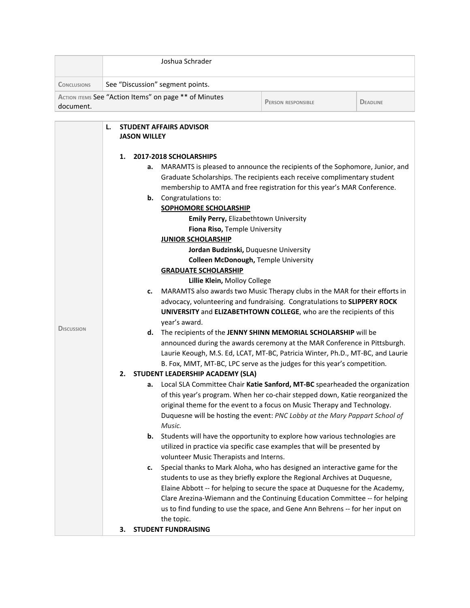|                    | Joshua Schrader                                                                                                                                                                                                                                                       |                                                       |                                                                                                                                                         |                 |  |
|--------------------|-----------------------------------------------------------------------------------------------------------------------------------------------------------------------------------------------------------------------------------------------------------------------|-------------------------------------------------------|---------------------------------------------------------------------------------------------------------------------------------------------------------|-----------------|--|
| <b>CONCLUSIONS</b> | See "Discussion" segment points.                                                                                                                                                                                                                                      |                                                       |                                                                                                                                                         |                 |  |
| document.          |                                                                                                                                                                                                                                                                       | ACTION ITEMS See "Action Items" on page ** of Minutes | <b>PERSON RESPONSIBLE</b>                                                                                                                               | <b>DEADLINE</b> |  |
|                    | L.<br><b>JASON WILLEY</b>                                                                                                                                                                                                                                             | <b>STUDENT AFFAIRS ADVISOR</b>                        |                                                                                                                                                         |                 |  |
|                    | 1.                                                                                                                                                                                                                                                                    | 2017-2018 SCHOLARSHIPS                                |                                                                                                                                                         |                 |  |
|                    |                                                                                                                                                                                                                                                                       | а.                                                    | MARAMTS is pleased to announce the recipients of the Sophomore, Junior, and                                                                             |                 |  |
|                    |                                                                                                                                                                                                                                                                       |                                                       | Graduate Scholarships. The recipients each receive complimentary student                                                                                |                 |  |
|                    |                                                                                                                                                                                                                                                                       |                                                       | membership to AMTA and free registration for this year's MAR Conference.                                                                                |                 |  |
|                    |                                                                                                                                                                                                                                                                       | Congratulations to:<br>b.                             |                                                                                                                                                         |                 |  |
|                    |                                                                                                                                                                                                                                                                       | <b>SOPHOMORE SCHOLARSHIP</b>                          |                                                                                                                                                         |                 |  |
|                    |                                                                                                                                                                                                                                                                       |                                                       | <b>Emily Perry, Elizabethtown University</b>                                                                                                            |                 |  |
|                    |                                                                                                                                                                                                                                                                       |                                                       | Fiona Riso, Temple University                                                                                                                           |                 |  |
|                    |                                                                                                                                                                                                                                                                       | <b>JUNIOR SCHOLARSHIP</b>                             |                                                                                                                                                         |                 |  |
|                    |                                                                                                                                                                                                                                                                       |                                                       | Jordan Budzinski, Duquesne University                                                                                                                   |                 |  |
|                    | <b>Colleen McDonough, Temple University</b><br><b>GRADUATE SCHOLARSHIP</b>                                                                                                                                                                                            |                                                       |                                                                                                                                                         |                 |  |
|                    |                                                                                                                                                                                                                                                                       |                                                       |                                                                                                                                                         |                 |  |
|                    | Lillie Klein, Molloy College<br>MARAMTS also awards two Music Therapy clubs in the MAR for their efforts in<br>c.<br>advocacy, volunteering and fundraising. Congratulations to SLIPPERY ROCK<br>UNIVERSITY and ELIZABETHTOWN COLLEGE, who are the recipients of this |                                                       |                                                                                                                                                         |                 |  |
|                    |                                                                                                                                                                                                                                                                       |                                                       |                                                                                                                                                         |                 |  |
|                    |                                                                                                                                                                                                                                                                       |                                                       |                                                                                                                                                         |                 |  |
|                    |                                                                                                                                                                                                                                                                       | year's award.                                         |                                                                                                                                                         |                 |  |
| <b>DISCUSSION</b>  | The recipients of the JENNY SHINN MEMORIAL SCHOLARSHIP will be<br>d.<br>announced during the awards ceremony at the MAR Conference in Pittsburgh.                                                                                                                     |                                                       |                                                                                                                                                         |                 |  |
|                    |                                                                                                                                                                                                                                                                       |                                                       |                                                                                                                                                         |                 |  |
|                    | Laurie Keough, M.S. Ed, LCAT, MT-BC, Patricia Winter, Ph.D., MT-BC, and Laurie                                                                                                                                                                                        |                                                       |                                                                                                                                                         |                 |  |
|                    |                                                                                                                                                                                                                                                                       |                                                       | B. Fox, MMT, MT-BC, LPC serve as the judges for this year's competition.                                                                                |                 |  |
|                    | 2.                                                                                                                                                                                                                                                                    | STUDENT LEADERSHIP ACADEMY (SLA)                      |                                                                                                                                                         |                 |  |
|                    |                                                                                                                                                                                                                                                                       | а.                                                    | Local SLA Committee Chair Katie Sanford, MT-BC spearheaded the organization                                                                             |                 |  |
|                    |                                                                                                                                                                                                                                                                       |                                                       | of this year's program. When her co-chair stepped down, Katie reorganized the                                                                           |                 |  |
|                    |                                                                                                                                                                                                                                                                       |                                                       | original theme for the event to a focus on Music Therapy and Technology.<br>Duquesne will be hosting the event: PNC Lobby at the Mary Pappart School of |                 |  |
|                    |                                                                                                                                                                                                                                                                       | Music.                                                |                                                                                                                                                         |                 |  |
|                    |                                                                                                                                                                                                                                                                       | b.                                                    | Students will have the opportunity to explore how various technologies are                                                                              |                 |  |
|                    |                                                                                                                                                                                                                                                                       |                                                       | utilized in practice via specific case examples that will be presented by                                                                               |                 |  |
|                    |                                                                                                                                                                                                                                                                       | volunteer Music Therapists and Interns.               |                                                                                                                                                         |                 |  |
|                    |                                                                                                                                                                                                                                                                       | c.                                                    | Special thanks to Mark Aloha, who has designed an interactive game for the                                                                              |                 |  |
|                    |                                                                                                                                                                                                                                                                       |                                                       | students to use as they briefly explore the Regional Archives at Duquesne,                                                                              |                 |  |
|                    |                                                                                                                                                                                                                                                                       |                                                       | Elaine Abbott -- for helping to secure the space at Duquesne for the Academy,                                                                           |                 |  |
|                    |                                                                                                                                                                                                                                                                       |                                                       | Clare Arezina-Wiemann and the Continuing Education Committee -- for helping                                                                             |                 |  |
|                    |                                                                                                                                                                                                                                                                       |                                                       | us to find funding to use the space, and Gene Ann Behrens -- for her input on                                                                           |                 |  |
|                    |                                                                                                                                                                                                                                                                       | the topic.                                            |                                                                                                                                                         |                 |  |
|                    | 3.                                                                                                                                                                                                                                                                    | <b>STUDENT FUNDRAISING</b>                            |                                                                                                                                                         |                 |  |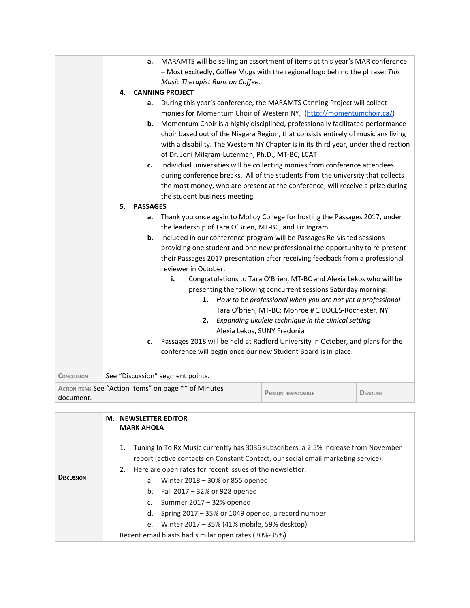|                   |    | a.              | MARAMTS will be selling an assortment of items at this year's MAR conference<br>- Most excitedly, Coffee Mugs with the regional logo behind the phrase: This<br>Music Therapist Runs on Coffee. |                                                                     |                 |
|-------------------|----|-----------------|-------------------------------------------------------------------------------------------------------------------------------------------------------------------------------------------------|---------------------------------------------------------------------|-----------------|
|                   | 4. |                 | <b>CANNING PROJECT</b>                                                                                                                                                                          |                                                                     |                 |
|                   |    | а.              | During this year's conference, the MARAMTS Canning Project will collect                                                                                                                         |                                                                     |                 |
|                   |    |                 | monies for Momentum Choir of Western NY, (http://momentumchoir.ca/)                                                                                                                             |                                                                     |                 |
|                   |    | b.              | Momentum Choir is a highly disciplined, professionally facilitated performance                                                                                                                  |                                                                     |                 |
|                   |    |                 | choir based out of the Niagara Region, that consists entirely of musicians living                                                                                                               |                                                                     |                 |
|                   |    |                 | with a disability. The Western NY Chapter is in its third year, under the direction                                                                                                             |                                                                     |                 |
|                   |    |                 | of Dr. Joni Milgram-Luterman, Ph.D., MT-BC, LCAT                                                                                                                                                |                                                                     |                 |
|                   |    | c.              | Individual universities will be collecting monies from conference attendees                                                                                                                     |                                                                     |                 |
|                   |    |                 | during conference breaks. All of the students from the university that collects                                                                                                                 |                                                                     |                 |
|                   |    |                 | the most money, who are present at the conference, will receive a prize during                                                                                                                  |                                                                     |                 |
|                   |    |                 | the student business meeting.                                                                                                                                                                   |                                                                     |                 |
|                   | 5. | <b>PASSAGES</b> |                                                                                                                                                                                                 |                                                                     |                 |
|                   |    | a.              | Thank you once again to Molloy College for hosting the Passages 2017, under                                                                                                                     |                                                                     |                 |
|                   |    |                 | the leadership of Tara O'Brien, MT-BC, and Liz Ingram.                                                                                                                                          |                                                                     |                 |
|                   |    | b.              | Included in our conference program will be Passages Re-visited sessions -                                                                                                                       |                                                                     |                 |
|                   |    |                 | providing one student and one new professional the opportunity to re-present                                                                                                                    |                                                                     |                 |
|                   |    |                 | their Passages 2017 presentation after receiving feedback from a professional                                                                                                                   |                                                                     |                 |
|                   |    |                 | reviewer in October.                                                                                                                                                                            |                                                                     |                 |
|                   |    |                 | i.                                                                                                                                                                                              | Congratulations to Tara O'Brien, MT-BC and Alexia Lekos who will be |                 |
|                   |    |                 |                                                                                                                                                                                                 | presenting the following concurrent sessions Saturday morning:      |                 |
|                   |    |                 |                                                                                                                                                                                                 | 1. How to be professional when you are not yet a professional       |                 |
|                   |    |                 |                                                                                                                                                                                                 | Tara O'brien, MT-BC; Monroe # 1 BOCES-Rochester, NY                 |                 |
|                   |    |                 | 2.                                                                                                                                                                                              | Expanding ukulele technique in the clinical setting                 |                 |
|                   |    |                 | Alexia Lekos, SUNY Fredonia                                                                                                                                                                     |                                                                     |                 |
|                   |    | c.              | Passages 2018 will be held at Radford University in October, and plans for the                                                                                                                  |                                                                     |                 |
|                   |    |                 | conference will begin once our new Student Board is in place.                                                                                                                                   |                                                                     |                 |
|                   |    |                 |                                                                                                                                                                                                 |                                                                     |                 |
| <b>CONCLUSION</b> |    |                 | See "Discussion" segment points.                                                                                                                                                                |                                                                     |                 |
|                   |    |                 | ACTION ITEMS See "Action Items" on page ** of Minutes                                                                                                                                           | <b>PERSON RESPONSIBLE</b>                                           | <b>DEADLINE</b> |
| document.         |    |                 |                                                                                                                                                                                                 |                                                                     |                 |

|                   | <b>M. NEWSLETTER EDITOR</b><br><b>MARK AHOLA</b>                                                                                                                                                                                                                                                                                                                                                                                                                                                                                    |  |
|-------------------|-------------------------------------------------------------------------------------------------------------------------------------------------------------------------------------------------------------------------------------------------------------------------------------------------------------------------------------------------------------------------------------------------------------------------------------------------------------------------------------------------------------------------------------|--|
| <b>DISCUSSION</b> | Tuning In To Rx Music currently has 3036 subscribers, a 2.5% increase from November<br>1.<br>report (active contacts on Constant Contact, our social email marketing service).<br>2. Here are open rates for recent issues of the newsletter:<br>a. Winter $2018 - 30\%$ or 855 opened<br>b. Fall $2017 - 32\%$ or 928 opened<br>c. Summer $2017 - 32%$ opened<br>d. Spring $2017 - 35\%$ or 1049 opened, a record number<br>e. Winter 2017 - 35% (41% mobile, 59% desktop)<br>Recent email blasts had similar open rates (30%-35%) |  |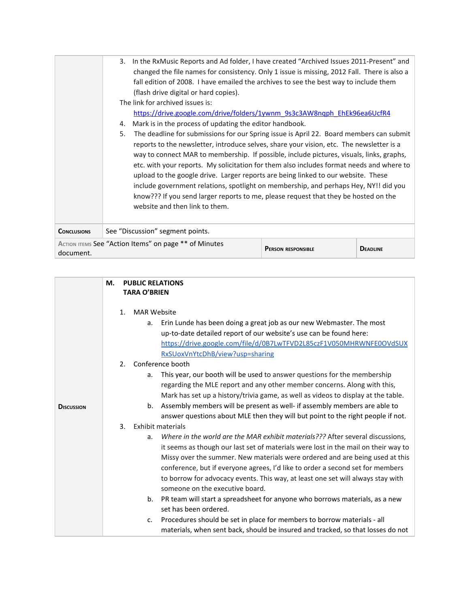|                    | In the RxMusic Reports and Ad folder, I have created "Archived Issues 2011-Present" and<br>3.<br>changed the file names for consistency. Only 1 issue is missing, 2012 Fall. There is also a<br>fall edition of 2008. I have emailed the archives to see the best way to include them<br>(flash drive digital or hard copies).<br>The link for archived issues is:<br>https://drive.google.com/drive/folders/1ywnm 9s3c3AW8ngph EhEk96ea6UcfR4<br>Mark is in the process of updating the editor handbook.<br>4.<br>The deadline for submissions for our Spring issue is April 22. Board members can submit<br>5.<br>reports to the newsletter, introduce selves, share your vision, etc. The newsletter is a<br>way to connect MAR to membership. If possible, include pictures, visuals, links, graphs,<br>etc. with your reports. My solicitation for them also includes format needs and where to<br>upload to the google drive. Larger reports are being linked to our website. These<br>include government relations, spotlight on membership, and perhaps Hey, NY!! did you<br>know??? If you send larger reports to me, please request that they be hosted on the<br>website and then link to them. |                           |                 |
|--------------------|------------------------------------------------------------------------------------------------------------------------------------------------------------------------------------------------------------------------------------------------------------------------------------------------------------------------------------------------------------------------------------------------------------------------------------------------------------------------------------------------------------------------------------------------------------------------------------------------------------------------------------------------------------------------------------------------------------------------------------------------------------------------------------------------------------------------------------------------------------------------------------------------------------------------------------------------------------------------------------------------------------------------------------------------------------------------------------------------------------------------------------------------------------------------------------------------------------|---------------------------|-----------------|
| <b>CONCLUSIONS</b> | See "Discussion" segment points.                                                                                                                                                                                                                                                                                                                                                                                                                                                                                                                                                                                                                                                                                                                                                                                                                                                                                                                                                                                                                                                                                                                                                                           |                           |                 |
| document.          | ACTION ITEMS See "Action Items" on page ** of Minutes                                                                                                                                                                                                                                                                                                                                                                                                                                                                                                                                                                                                                                                                                                                                                                                                                                                                                                                                                                                                                                                                                                                                                      | <b>PERSON RESPONSIBLE</b> | <b>DEADLINE</b> |

|                   | М.<br><b>PUBLIC RELATIONS</b><br><b>TARA O'BRIEN</b>                                                                                                                                                                                                                                                                                                                                                                                                               |
|-------------------|--------------------------------------------------------------------------------------------------------------------------------------------------------------------------------------------------------------------------------------------------------------------------------------------------------------------------------------------------------------------------------------------------------------------------------------------------------------------|
|                   | 1 <sub>1</sub><br><b>MAR Website</b>                                                                                                                                                                                                                                                                                                                                                                                                                               |
|                   | Erin Lunde has been doing a great job as our new Webmaster. The most<br>а.<br>up-to-date detailed report of our website's use can be found here:<br>https://drive.google.com/file/d/0B7LwTFVD2L85czF1V050MHRWNFE0OVdSUX<br>RxSUoxVnYtcDhB/view?usp=sharing                                                                                                                                                                                                         |
|                   | Conference booth<br>2.                                                                                                                                                                                                                                                                                                                                                                                                                                             |
|                   | This year, our booth will be used to answer questions for the membership<br>a.<br>regarding the MLE report and any other member concerns. Along with this,<br>Mark has set up a history/trivia game, as well as videos to display at the table.                                                                                                                                                                                                                    |
| <b>DISCUSSION</b> | Assembly members will be present as well- if assembly members are able to<br>b.<br>answer questions about MLE then they will but point to the right people if not.                                                                                                                                                                                                                                                                                                 |
|                   | 3.<br>Exhibit materials                                                                                                                                                                                                                                                                                                                                                                                                                                            |
|                   | Where in the world are the MAR exhibit materials??? After several discussions,<br>a.<br>it seems as though our last set of materials were lost in the mail on their way to<br>Missy over the summer. New materials were ordered and are being used at this<br>conference, but if everyone agrees, I'd like to order a second set for members<br>to borrow for advocacy events. This way, at least one set will always stay with<br>someone on the executive board. |
|                   | b. PR team will start a spreadsheet for anyone who borrows materials, as a new<br>set has been ordered.                                                                                                                                                                                                                                                                                                                                                            |
|                   | Procedures should be set in place for members to borrow materials - all<br>$C_{\bullet}$<br>materials, when sent back, should be insured and tracked, so that losses do not                                                                                                                                                                                                                                                                                        |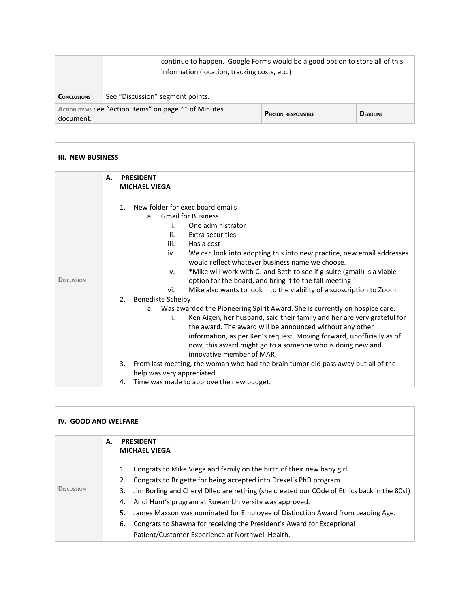|                                                                                                 | continue to happen. Google Forms would be a good option to store all of this<br>information (location, tracking costs, etc.) |  |                 |
|-------------------------------------------------------------------------------------------------|------------------------------------------------------------------------------------------------------------------------------|--|-----------------|
| <b>CONCLUSIONS</b>                                                                              | See "Discussion" segment points.                                                                                             |  |                 |
| ACTION ITEMS See "Action Items" on page ** of Minutes<br><b>PERSON RESPONSIBLE</b><br>document. |                                                                                                                              |  | <b>DEADLINE</b> |

| III. NEW BUSINESS |                                                                                                                                                                                                                                                                                                                                                                                                                                                                                                                                                                                                                                                                                                                                                                                                                                                                                                                                                                                                                                                                                      |  |  |  |
|-------------------|--------------------------------------------------------------------------------------------------------------------------------------------------------------------------------------------------------------------------------------------------------------------------------------------------------------------------------------------------------------------------------------------------------------------------------------------------------------------------------------------------------------------------------------------------------------------------------------------------------------------------------------------------------------------------------------------------------------------------------------------------------------------------------------------------------------------------------------------------------------------------------------------------------------------------------------------------------------------------------------------------------------------------------------------------------------------------------------|--|--|--|
|                   | А.<br><b>PRESIDENT</b><br><b>MICHAEL VIEGA</b>                                                                                                                                                                                                                                                                                                                                                                                                                                                                                                                                                                                                                                                                                                                                                                                                                                                                                                                                                                                                                                       |  |  |  |
| <b>DISCUSSION</b> | New folder for exec board emails<br>$\mathbf{1}$ .<br><b>Gmail for Business</b><br>a.<br>One administrator<br>i.<br>ii.<br>Extra securities<br>iii.<br>Has a cost<br>We can look into adopting this into new practice, new email addresses<br>iv.<br>would reflect whatever business name we choose.<br>*Mike will work with CJ and Beth to see if g-suite (gmail) is a viable<br>ν.<br>option for the board, and bring it to the fall meeting<br>Mike also wants to look into the viability of a subscription to Zoom.<br>vi.<br>Benedikte Scheiby<br>2.<br>a. Was awarded the Pioneering Spirit Award. She is currently on hospice care.<br>Ken Aigen, her husband, said their family and her are very grateful for<br>i.<br>the award. The award will be announced without any other<br>information, as per Ken's request. Moving forward, unofficially as of<br>now, this award might go to a someone who is doing new and<br>innovative member of MAR.<br>3.<br>From last meeting, the woman who had the brain tumor did pass away but all of the<br>help was very appreciated. |  |  |  |
|                   | Time was made to approve the new budget.<br>4.                                                                                                                                                                                                                                                                                                                                                                                                                                                                                                                                                                                                                                                                                                                                                                                                                                                                                                                                                                                                                                       |  |  |  |

| <b>IV. GOOD AND WELFARE</b> |    |                                                                                                   |  |  |
|-----------------------------|----|---------------------------------------------------------------------------------------------------|--|--|
|                             | А. | <b>PRESIDENT</b>                                                                                  |  |  |
|                             |    | <b>MICHAEL VIEGA</b>                                                                              |  |  |
|                             |    | Congrats to Mike Viega and family on the birth of their new baby girl.<br>1.                      |  |  |
|                             |    | Congrats to Brigette for being accepted into Drexel's PhD program.<br>2.                          |  |  |
| <b>DISCUSSION</b>           |    | Jim Borling and Cheryl Dlleo are retiring (she created our COde of Ethics back in the 80s!)<br>3. |  |  |
|                             |    | Andi Hunt's program at Rowan University was approved.<br>4.                                       |  |  |
|                             |    | James Maxson was nominated for Employee of Distinction Award from Leading Age.<br>5.              |  |  |
|                             |    | Congrats to Shawna for receiving the President's Award for Exceptional<br>6.                      |  |  |
|                             |    | Patient/Customer Experience at Northwell Health.                                                  |  |  |